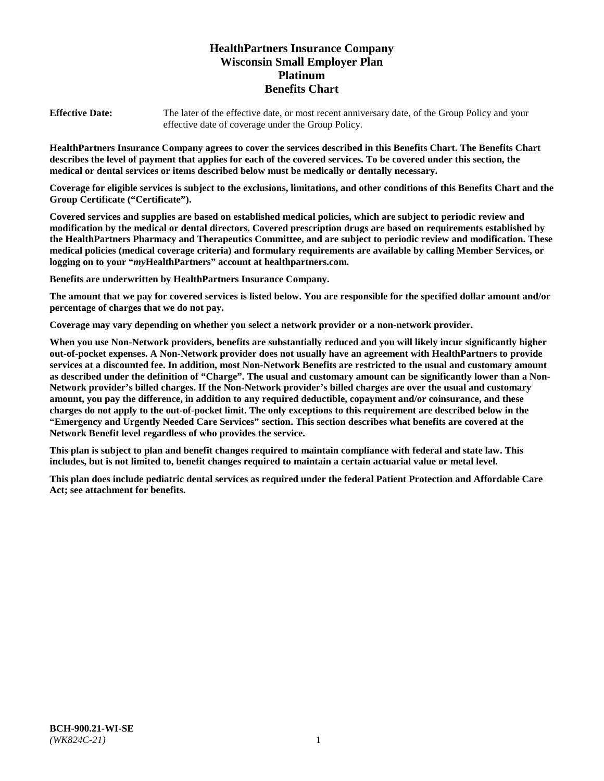# **HealthPartners Insurance Company Wisconsin Small Employer Plan Platinum Benefits Chart**

**Effective Date:** The later of the effective date, or most recent anniversary date, of the Group Policy and your effective date of coverage under the Group Policy.

**HealthPartners Insurance Company agrees to cover the services described in this Benefits Chart. The Benefits Chart describes the level of payment that applies for each of the covered services. To be covered under this section, the medical or dental services or items described below must be medically or dentally necessary.**

**Coverage for eligible services is subject to the exclusions, limitations, and other conditions of this Benefits Chart and the Group Certificate ("Certificate").**

**Covered services and supplies are based on established medical policies, which are subject to periodic review and modification by the medical or dental directors. Covered prescription drugs are based on requirements established by the HealthPartners Pharmacy and Therapeutics Committee, and are subject to periodic review and modification. These medical policies (medical coverage criteria) and formulary requirements are available by calling Member Services, or logging on to your "***my***HealthPartners" account at [healthpartners.com.](https://www.healthpartners.com/hp/index.html)**

**Benefits are underwritten by HealthPartners Insurance Company.**

**The amount that we pay for covered services is listed below. You are responsible for the specified dollar amount and/or percentage of charges that we do not pay.**

**Coverage may vary depending on whether you select a network provider or a non-network provider.**

**When you use Non-Network providers, benefits are substantially reduced and you will likely incur significantly higher out-of-pocket expenses. A Non-Network provider does not usually have an agreement with HealthPartners to provide services at a discounted fee. In addition, most Non-Network Benefits are restricted to the usual and customary amount as described under the definition of "Charge". The usual and customary amount can be significantly lower than a Non-Network provider's billed charges. If the Non-Network provider's billed charges are over the usual and customary amount, you pay the difference, in addition to any required deductible, copayment and/or coinsurance, and these charges do not apply to the out-of-pocket limit. The only exceptions to this requirement are described below in the "Emergency and Urgently Needed Care Services" section. This section describes what benefits are covered at the Network Benefit level regardless of who provides the service.**

**This plan is subject to plan and benefit changes required to maintain compliance with federal and state law. This includes, but is not limited to, benefit changes required to maintain a certain actuarial value or metal level.**

**This plan does include pediatric dental services as required under the federal Patient Protection and Affordable Care Act; see attachment for benefits.**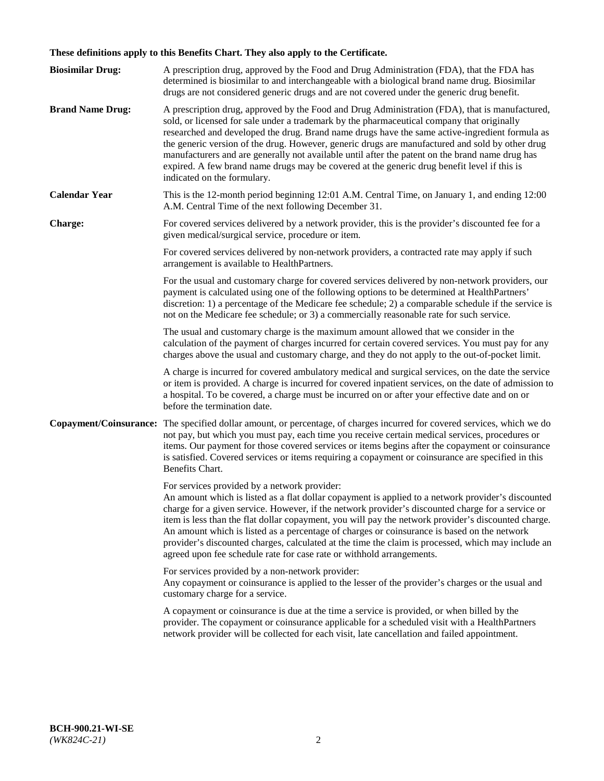# **These definitions apply to this Benefits Chart. They also apply to the Certificate.**

| <b>Biosimilar Drug:</b> | A prescription drug, approved by the Food and Drug Administration (FDA), that the FDA has<br>determined is biosimilar to and interchangeable with a biological brand name drug. Biosimilar<br>drugs are not considered generic drugs and are not covered under the generic drug benefit.                                                                                                                                                                                                                                                                                                                                                     |
|-------------------------|----------------------------------------------------------------------------------------------------------------------------------------------------------------------------------------------------------------------------------------------------------------------------------------------------------------------------------------------------------------------------------------------------------------------------------------------------------------------------------------------------------------------------------------------------------------------------------------------------------------------------------------------|
| <b>Brand Name Drug:</b> | A prescription drug, approved by the Food and Drug Administration (FDA), that is manufactured,<br>sold, or licensed for sale under a trademark by the pharmaceutical company that originally<br>researched and developed the drug. Brand name drugs have the same active-ingredient formula as<br>the generic version of the drug. However, generic drugs are manufactured and sold by other drug<br>manufacturers and are generally not available until after the patent on the brand name drug has<br>expired. A few brand name drugs may be covered at the generic drug benefit level if this is<br>indicated on the formulary.           |
| <b>Calendar Year</b>    | This is the 12-month period beginning 12:01 A.M. Central Time, on January 1, and ending 12:00<br>A.M. Central Time of the next following December 31.                                                                                                                                                                                                                                                                                                                                                                                                                                                                                        |
| <b>Charge:</b>          | For covered services delivered by a network provider, this is the provider's discounted fee for a<br>given medical/surgical service, procedure or item.                                                                                                                                                                                                                                                                                                                                                                                                                                                                                      |
|                         | For covered services delivered by non-network providers, a contracted rate may apply if such<br>arrangement is available to HealthPartners.                                                                                                                                                                                                                                                                                                                                                                                                                                                                                                  |
|                         | For the usual and customary charge for covered services delivered by non-network providers, our<br>payment is calculated using one of the following options to be determined at HealthPartners'<br>discretion: 1) a percentage of the Medicare fee schedule; 2) a comparable schedule if the service is<br>not on the Medicare fee schedule; or 3) a commercially reasonable rate for such service.                                                                                                                                                                                                                                          |
|                         | The usual and customary charge is the maximum amount allowed that we consider in the<br>calculation of the payment of charges incurred for certain covered services. You must pay for any<br>charges above the usual and customary charge, and they do not apply to the out-of-pocket limit.                                                                                                                                                                                                                                                                                                                                                 |
|                         | A charge is incurred for covered ambulatory medical and surgical services, on the date the service<br>or item is provided. A charge is incurred for covered inpatient services, on the date of admission to<br>a hospital. To be covered, a charge must be incurred on or after your effective date and on or<br>before the termination date.                                                                                                                                                                                                                                                                                                |
| Copayment/Coinsurance:  | The specified dollar amount, or percentage, of charges incurred for covered services, which we do<br>not pay, but which you must pay, each time you receive certain medical services, procedures or<br>items. Our payment for those covered services or items begins after the copayment or coinsurance<br>is satisfied. Covered services or items requiring a copayment or coinsurance are specified in this<br>Benefits Chart.                                                                                                                                                                                                             |
|                         | For services provided by a network provider:<br>An amount which is listed as a flat dollar copayment is applied to a network provider's discounted<br>charge for a given service. However, if the network provider's discounted charge for a service or<br>item is less than the flat dollar copayment, you will pay the network provider's discounted charge.<br>An amount which is listed as a percentage of charges or coinsurance is based on the network<br>provider's discounted charges, calculated at the time the claim is processed, which may include an<br>agreed upon fee schedule rate for case rate or withhold arrangements. |
|                         | For services provided by a non-network provider:<br>Any copayment or coinsurance is applied to the lesser of the provider's charges or the usual and<br>customary charge for a service.                                                                                                                                                                                                                                                                                                                                                                                                                                                      |
|                         | A copayment or coinsurance is due at the time a service is provided, or when billed by the<br>provider. The copayment or coinsurance applicable for a scheduled visit with a HealthPartners<br>network provider will be collected for each visit, late cancellation and failed appointment.                                                                                                                                                                                                                                                                                                                                                  |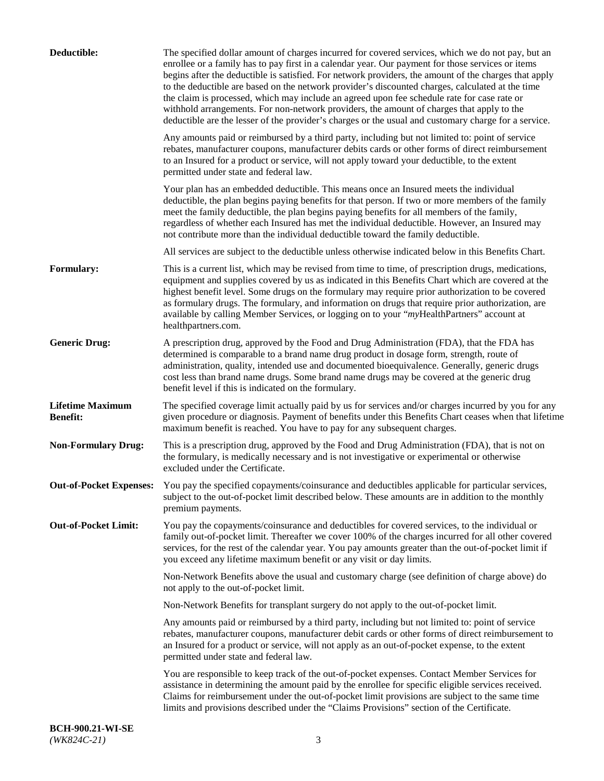| Deductible:                                | The specified dollar amount of charges incurred for covered services, which we do not pay, but an<br>enrollee or a family has to pay first in a calendar year. Our payment for those services or items<br>begins after the deductible is satisfied. For network providers, the amount of the charges that apply<br>to the deductible are based on the network provider's discounted charges, calculated at the time<br>the claim is processed, which may include an agreed upon fee schedule rate for case rate or<br>withhold arrangements. For non-network providers, the amount of charges that apply to the<br>deductible are the lesser of the provider's charges or the usual and customary charge for a service. |
|--------------------------------------------|-------------------------------------------------------------------------------------------------------------------------------------------------------------------------------------------------------------------------------------------------------------------------------------------------------------------------------------------------------------------------------------------------------------------------------------------------------------------------------------------------------------------------------------------------------------------------------------------------------------------------------------------------------------------------------------------------------------------------|
|                                            | Any amounts paid or reimbursed by a third party, including but not limited to: point of service<br>rebates, manufacturer coupons, manufacturer debits cards or other forms of direct reimbursement<br>to an Insured for a product or service, will not apply toward your deductible, to the extent<br>permitted under state and federal law.                                                                                                                                                                                                                                                                                                                                                                            |
|                                            | Your plan has an embedded deductible. This means once an Insured meets the individual<br>deductible, the plan begins paying benefits for that person. If two or more members of the family<br>meet the family deductible, the plan begins paying benefits for all members of the family,<br>regardless of whether each Insured has met the individual deductible. However, an Insured may<br>not contribute more than the individual deductible toward the family deductible.                                                                                                                                                                                                                                           |
|                                            | All services are subject to the deductible unless otherwise indicated below in this Benefits Chart.                                                                                                                                                                                                                                                                                                                                                                                                                                                                                                                                                                                                                     |
| Formulary:                                 | This is a current list, which may be revised from time to time, of prescription drugs, medications,<br>equipment and supplies covered by us as indicated in this Benefits Chart which are covered at the<br>highest benefit level. Some drugs on the formulary may require prior authorization to be covered<br>as formulary drugs. The formulary, and information on drugs that require prior authorization, are<br>available by calling Member Services, or logging on to your "myHealthPartners" account at<br>healthpartners.com.                                                                                                                                                                                   |
| <b>Generic Drug:</b>                       | A prescription drug, approved by the Food and Drug Administration (FDA), that the FDA has<br>determined is comparable to a brand name drug product in dosage form, strength, route of<br>administration, quality, intended use and documented bioequivalence. Generally, generic drugs<br>cost less than brand name drugs. Some brand name drugs may be covered at the generic drug<br>benefit level if this is indicated on the formulary.                                                                                                                                                                                                                                                                             |
| <b>Lifetime Maximum</b><br><b>Benefit:</b> | The specified coverage limit actually paid by us for services and/or charges incurred by you for any<br>given procedure or diagnosis. Payment of benefits under this Benefits Chart ceases when that lifetime<br>maximum benefit is reached. You have to pay for any subsequent charges.                                                                                                                                                                                                                                                                                                                                                                                                                                |
| <b>Non-Formulary Drug:</b>                 | This is a prescription drug, approved by the Food and Drug Administration (FDA), that is not on<br>the formulary, is medically necessary and is not investigative or experimental or otherwise<br>excluded under the Certificate.                                                                                                                                                                                                                                                                                                                                                                                                                                                                                       |
|                                            | Out-of-Pocket Expenses: You pay the specified copayments/coinsurance and deductibles applicable for particular services,<br>subject to the out-of-pocket limit described below. These amounts are in addition to the monthly<br>premium payments.                                                                                                                                                                                                                                                                                                                                                                                                                                                                       |
| <b>Out-of-Pocket Limit:</b>                | You pay the copayments/coinsurance and deductibles for covered services, to the individual or<br>family out-of-pocket limit. Thereafter we cover 100% of the charges incurred for all other covered<br>services, for the rest of the calendar year. You pay amounts greater than the out-of-pocket limit if<br>you exceed any lifetime maximum benefit or any visit or day limits.                                                                                                                                                                                                                                                                                                                                      |
|                                            | Non-Network Benefits above the usual and customary charge (see definition of charge above) do<br>not apply to the out-of-pocket limit.                                                                                                                                                                                                                                                                                                                                                                                                                                                                                                                                                                                  |
|                                            | Non-Network Benefits for transplant surgery do not apply to the out-of-pocket limit.                                                                                                                                                                                                                                                                                                                                                                                                                                                                                                                                                                                                                                    |
|                                            | Any amounts paid or reimbursed by a third party, including but not limited to: point of service<br>rebates, manufacturer coupons, manufacturer debit cards or other forms of direct reimbursement to<br>an Insured for a product or service, will not apply as an out-of-pocket expense, to the extent<br>permitted under state and federal law.                                                                                                                                                                                                                                                                                                                                                                        |
|                                            | You are responsible to keep track of the out-of-pocket expenses. Contact Member Services for<br>assistance in determining the amount paid by the enrollee for specific eligible services received.<br>Claims for reimbursement under the out-of-pocket limit provisions are subject to the same time<br>limits and provisions described under the "Claims Provisions" section of the Certificate.                                                                                                                                                                                                                                                                                                                       |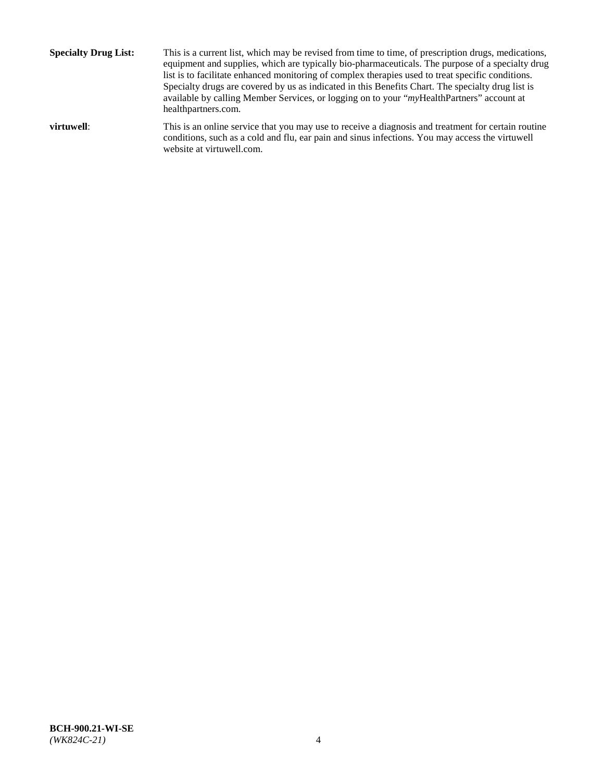**Specialty Drug List:** This is a current list, which may be revised from time to time, of prescription drugs, medications, equipment and supplies, which are typically bio-pharmaceuticals. The purpose of a specialty drug list is to facilitate enhanced monitoring of complex therapies used to treat specific conditions. Specialty drugs are covered by us as indicated in this Benefits Chart. The specialty drug list is available by calling Member Services, or logging on to your "*my*HealthPartners" account at [healthpartners.com.](http://www.healthpartners.com/) **virtuwell:** This is an online service that you may use to receive a diagnosis and treatment for certain routine conditions, such as a cold and flu, ear pain and sinus infections. You may access the virtuwell

website at [virtuwell.com.](http://www.virtuwell.com/)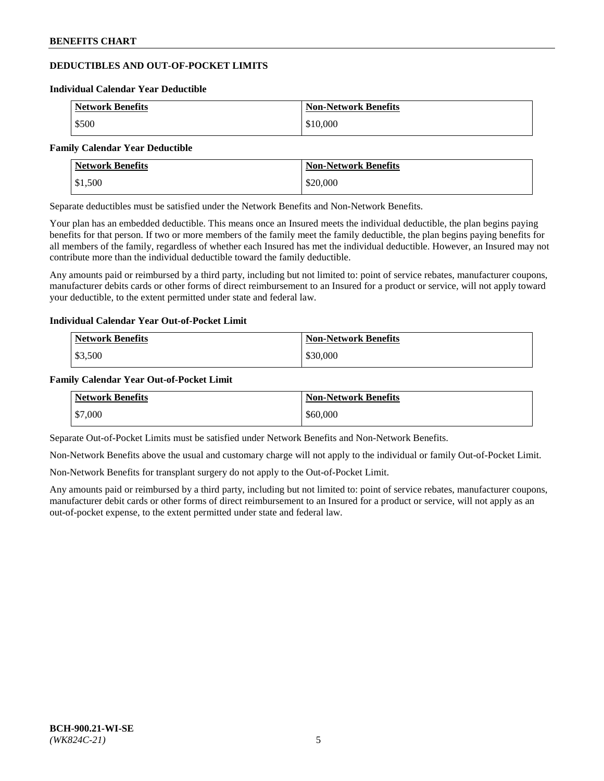# **DEDUCTIBLES AND OUT-OF-POCKET LIMITS**

#### **Individual Calendar Year Deductible**

| <b>Network Benefits</b> | <b>Non-Network Benefits</b> |
|-------------------------|-----------------------------|
| \$500                   | \$10,000                    |

#### **Family Calendar Year Deductible**

| Network Benefits | <b>Non-Network Benefits</b> |
|------------------|-----------------------------|
| \$1,500          | \$20,000                    |

Separate deductibles must be satisfied under the Network Benefits and Non-Network Benefits.

Your plan has an embedded deductible. This means once an Insured meets the individual deductible, the plan begins paying benefits for that person. If two or more members of the family meet the family deductible, the plan begins paying benefits for all members of the family, regardless of whether each Insured has met the individual deductible. However, an Insured may not contribute more than the individual deductible toward the family deductible.

Any amounts paid or reimbursed by a third party, including but not limited to: point of service rebates, manufacturer coupons, manufacturer debits cards or other forms of direct reimbursement to an Insured for a product or service, will not apply toward your deductible, to the extent permitted under state and federal law.

## **Individual Calendar Year Out-of-Pocket Limit**

| <b>Network Benefits</b> | <b>Non-Network Benefits</b> |
|-------------------------|-----------------------------|
| \$3,500                 | \$30,000                    |

## **Family Calendar Year Out-of-Pocket Limit**

| <b>Network Benefits</b> | Non-Network Benefits |
|-------------------------|----------------------|
| \$7,000                 | \$60,000             |

Separate Out-of-Pocket Limits must be satisfied under Network Benefits and Non-Network Benefits.

Non-Network Benefits above the usual and customary charge will not apply to the individual or family Out-of-Pocket Limit.

Non-Network Benefits for transplant surgery do not apply to the Out-of-Pocket Limit.

Any amounts paid or reimbursed by a third party, including but not limited to: point of service rebates, manufacturer coupons, manufacturer debit cards or other forms of direct reimbursement to an Insured for a product or service, will not apply as an out-of-pocket expense, to the extent permitted under state and federal law.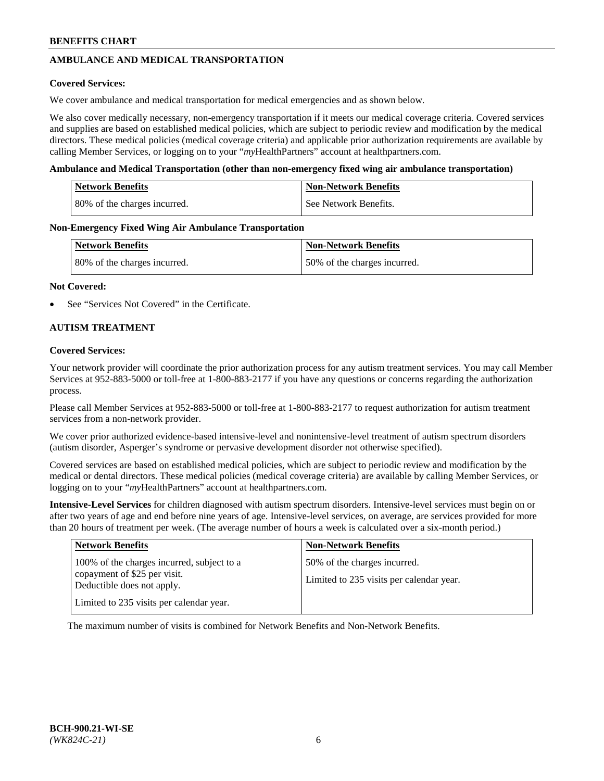# **AMBULANCE AND MEDICAL TRANSPORTATION**

### **Covered Services:**

We cover ambulance and medical transportation for medical emergencies and as shown below.

We also cover medically necessary, non-emergency transportation if it meets our medical coverage criteria. Covered services and supplies are based on established medical policies, which are subject to periodic review and modification by the medical directors. These medical policies (medical coverage criteria) and applicable prior authorization requirements are available by calling Member Services, or logging on to your "*my*HealthPartners" account a[t healthpartners.com.](https://www.healthpartners.com/hp/index.html)

### **Ambulance and Medical Transportation (other than non-emergency fixed wing air ambulance transportation)**

| <b>Network Benefits</b>      | <b>Non-Network Benefits</b> |
|------------------------------|-----------------------------|
| 80% of the charges incurred. | See Network Benefits.       |

### **Non-Emergency Fixed Wing Air Ambulance Transportation**

| <b>Network Benefits</b>      | <b>Non-Network Benefits</b>  |
|------------------------------|------------------------------|
| 80% of the charges incurred. | 50% of the charges incurred. |

### **Not Covered:**

See "Services Not Covered" in the Certificate.

## **AUTISM TREATMENT**

### **Covered Services:**

Your network provider will coordinate the prior authorization process for any autism treatment services. You may call Member Services at 952-883-5000 or toll-free at 1-800-883-2177 if you have any questions or concerns regarding the authorization process.

Please call Member Services at 952-883-5000 or toll-free at 1-800-883-2177 to request authorization for autism treatment services from a non-network provider.

We cover prior authorized evidence-based intensive-level and nonintensive-level treatment of autism spectrum disorders (autism disorder, Asperger's syndrome or pervasive development disorder not otherwise specified).

Covered services are based on established medical policies, which are subject to periodic review and modification by the medical or dental directors. These medical policies (medical coverage criteria) are available by calling Member Services, or logging on to your "*my*HealthPartners" account at [healthpartners.com.](https://www.healthpartners.com/hp/index.html)

**Intensive-Level Services** for children diagnosed with autism spectrum disorders. Intensive-level services must begin on or after two years of age and end before nine years of age. Intensive-level services, on average, are services provided for more than 20 hours of treatment per week. (The average number of hours a week is calculated over a six-month period.)

| <b>Network Benefits</b>                                                                                                                              | <b>Non-Network Benefits</b>                                              |
|------------------------------------------------------------------------------------------------------------------------------------------------------|--------------------------------------------------------------------------|
| 100% of the charges incurred, subject to a<br>copayment of \$25 per visit.<br>Deductible does not apply.<br>Limited to 235 visits per calendar year. | 50% of the charges incurred.<br>Limited to 235 visits per calendar year. |

The maximum number of visits is combined for Network Benefits and Non-Network Benefits.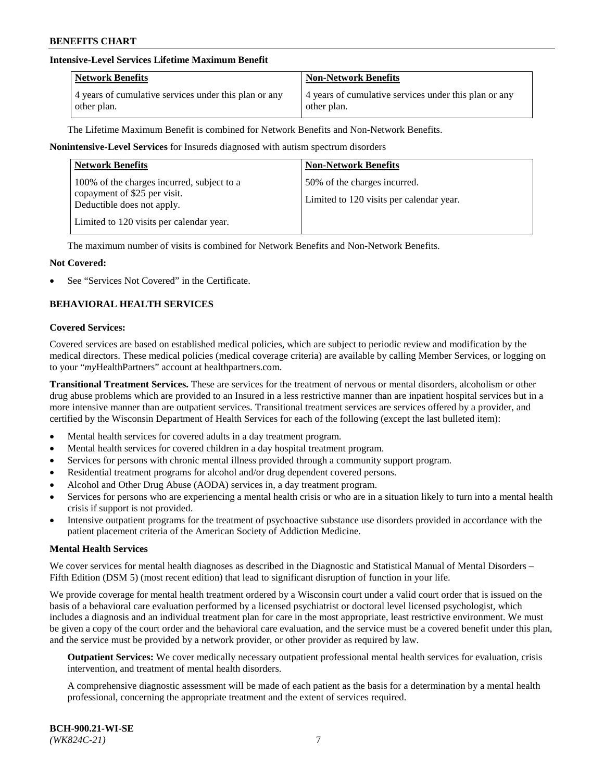## **Intensive-Level Services Lifetime Maximum Benefit**

| <b>Network Benefits</b>                               | <b>Non-Network Benefits</b>                           |
|-------------------------------------------------------|-------------------------------------------------------|
| 4 years of cumulative services under this plan or any | 4 years of cumulative services under this plan or any |
| other plan.                                           | other plan.                                           |

The Lifetime Maximum Benefit is combined for Network Benefits and Non-Network Benefits.

### **Nonintensive-Level Services** for Insureds diagnosed with autism spectrum disorders

| <b>Network Benefits</b>                                                                                                                              | <b>Non-Network Benefits</b>                                              |
|------------------------------------------------------------------------------------------------------------------------------------------------------|--------------------------------------------------------------------------|
| 100% of the charges incurred, subject to a<br>copayment of \$25 per visit.<br>Deductible does not apply.<br>Limited to 120 visits per calendar year. | 50% of the charges incurred.<br>Limited to 120 visits per calendar year. |

The maximum number of visits is combined for Network Benefits and Non-Network Benefits.

### **Not Covered:**

See "Services Not Covered" in the Certificate.

## **BEHAVIORAL HEALTH SERVICES**

#### **Covered Services:**

Covered services are based on established medical policies, which are subject to periodic review and modification by the medical directors. These medical policies (medical coverage criteria) are available by calling Member Services, or logging on to your "*my*HealthPartners" account at [healthpartners.com.](https://www.healthpartners.com/hp/index.html)

**Transitional Treatment Services.** These are services for the treatment of nervous or mental disorders, alcoholism or other drug abuse problems which are provided to an Insured in a less restrictive manner than are inpatient hospital services but in a more intensive manner than are outpatient services. Transitional treatment services are services offered by a provider, and certified by the Wisconsin Department of Health Services for each of the following (except the last bulleted item):

- Mental health services for covered adults in a day treatment program.
- Mental health services for covered children in a day hospital treatment program.
- Services for persons with chronic mental illness provided through a community support program.
- Residential treatment programs for alcohol and/or drug dependent covered persons.
- Alcohol and Other Drug Abuse (AODA) services in, a day treatment program.
- Services for persons who are experiencing a mental health crisis or who are in a situation likely to turn into a mental health crisis if support is not provided.
- Intensive outpatient programs for the treatment of psychoactive substance use disorders provided in accordance with the patient placement criteria of the American Society of Addiction Medicine.

#### **Mental Health Services**

We cover services for mental health diagnoses as described in the Diagnostic and Statistical Manual of Mental Disorders – Fifth Edition (DSM 5) (most recent edition) that lead to significant disruption of function in your life.

We provide coverage for mental health treatment ordered by a Wisconsin court under a valid court order that is issued on the basis of a behavioral care evaluation performed by a licensed psychiatrist or doctoral level licensed psychologist, which includes a diagnosis and an individual treatment plan for care in the most appropriate, least restrictive environment. We must be given a copy of the court order and the behavioral care evaluation, and the service must be a covered benefit under this plan, and the service must be provided by a network provider, or other provider as required by law.

**Outpatient Services:** We cover medically necessary outpatient professional mental health services for evaluation, crisis intervention, and treatment of mental health disorders.

A comprehensive diagnostic assessment will be made of each patient as the basis for a determination by a mental health professional, concerning the appropriate treatment and the extent of services required.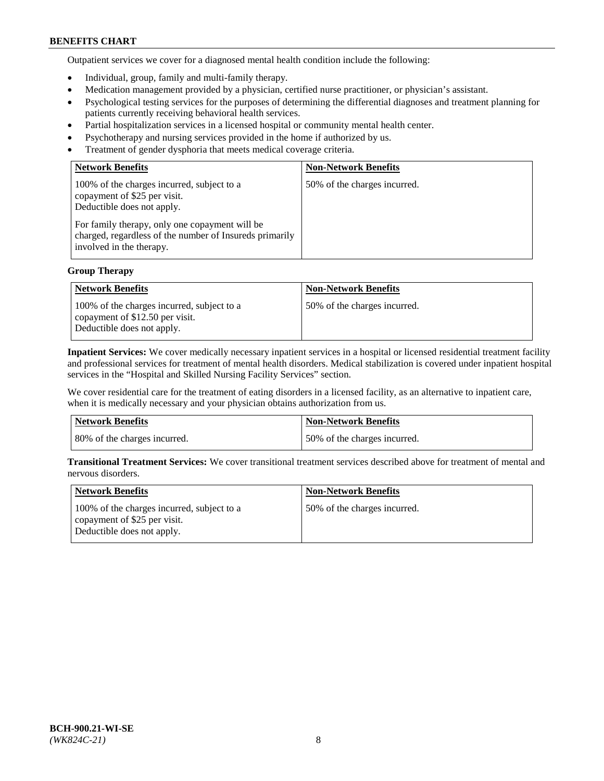Outpatient services we cover for a diagnosed mental health condition include the following:

- Individual, group, family and multi-family therapy.
- Medication management provided by a physician, certified nurse practitioner, or physician's assistant.
- Psychological testing services for the purposes of determining the differential diagnoses and treatment planning for patients currently receiving behavioral health services.
- Partial hospitalization services in a licensed hospital or community mental health center.
- Psychotherapy and nursing services provided in the home if authorized by us.
- Treatment of gender dysphoria that meets medical coverage criteria.

| <b>Network Benefits</b>                                                                                                                                                                                                                           | <b>Non-Network Benefits</b>  |
|---------------------------------------------------------------------------------------------------------------------------------------------------------------------------------------------------------------------------------------------------|------------------------------|
| 100% of the charges incurred, subject to a<br>copayment of \$25 per visit.<br>Deductible does not apply.<br>For family therapy, only one copayment will be<br>charged, regardless of the number of Insureds primarily<br>involved in the therapy. | 50% of the charges incurred. |

## **Group Therapy**

| <b>Network Benefits</b>                                                                                     | <b>Non-Network Benefits</b>  |
|-------------------------------------------------------------------------------------------------------------|------------------------------|
| 100% of the charges incurred, subject to a<br>copayment of \$12.50 per visit.<br>Deductible does not apply. | 50% of the charges incurred. |

**Inpatient Services:** We cover medically necessary inpatient services in a hospital or licensed residential treatment facility and professional services for treatment of mental health disorders. Medical stabilization is covered under inpatient hospital services in the "Hospital and Skilled Nursing Facility Services" section.

We cover residential care for the treatment of eating disorders in a licensed facility, as an alternative to inpatient care, when it is medically necessary and your physician obtains authorization from us.

| <b>Network Benefits</b>      | Non-Network Benefits         |
|------------------------------|------------------------------|
| 80% of the charges incurred. | 50% of the charges incurred. |

**Transitional Treatment Services:** We cover transitional treatment services described above for treatment of mental and nervous disorders.

| Network Benefits                                                                                         | <b>Non-Network Benefits</b>  |
|----------------------------------------------------------------------------------------------------------|------------------------------|
| 100% of the charges incurred, subject to a<br>copayment of \$25 per visit.<br>Deductible does not apply. | 50% of the charges incurred. |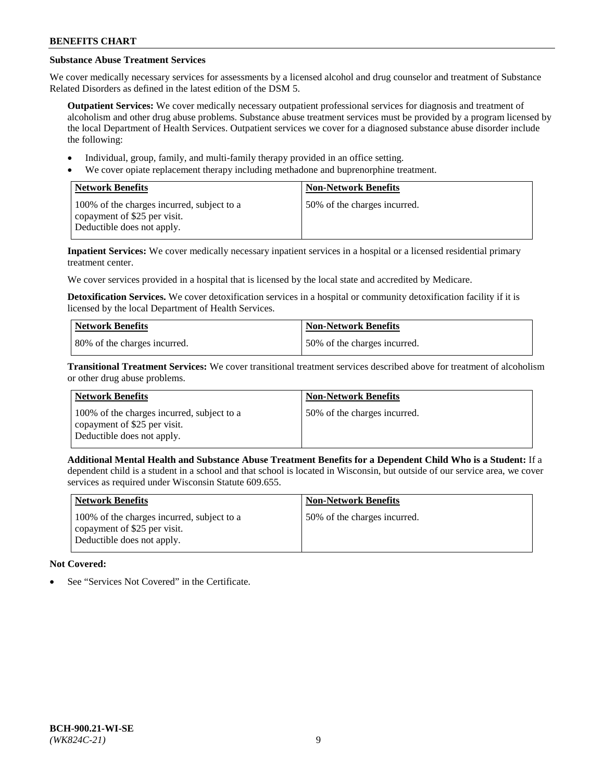# **Substance Abuse Treatment Services**

We cover medically necessary services for assessments by a licensed alcohol and drug counselor and treatment of Substance Related Disorders as defined in the latest edition of the DSM 5.

**Outpatient Services:** We cover medically necessary outpatient professional services for diagnosis and treatment of alcoholism and other drug abuse problems. Substance abuse treatment services must be provided by a program licensed by the local Department of Health Services. Outpatient services we cover for a diagnosed substance abuse disorder include the following:

- Individual, group, family, and multi-family therapy provided in an office setting.
- We cover opiate replacement therapy including methadone and buprenorphine treatment.

| <b>Network Benefits</b>                                                                                  | <b>Non-Network Benefits</b>  |
|----------------------------------------------------------------------------------------------------------|------------------------------|
| 100% of the charges incurred, subject to a<br>copayment of \$25 per visit.<br>Deductible does not apply. | 50% of the charges incurred. |

**Inpatient Services:** We cover medically necessary inpatient services in a hospital or a licensed residential primary treatment center.

We cover services provided in a hospital that is licensed by the local state and accredited by Medicare.

**Detoxification Services.** We cover detoxification services in a hospital or community detoxification facility if it is licensed by the local Department of Health Services.

| Network Benefits             | <b>Non-Network Benefits</b>  |
|------------------------------|------------------------------|
| 80% of the charges incurred. | 50% of the charges incurred. |

**Transitional Treatment Services:** We cover transitional treatment services described above for treatment of alcoholism or other drug abuse problems.

| Network Benefits                                                                                         | <b>Non-Network Benefits</b>  |
|----------------------------------------------------------------------------------------------------------|------------------------------|
| 100% of the charges incurred, subject to a<br>copayment of \$25 per visit.<br>Deductible does not apply. | 50% of the charges incurred. |

**Additional Mental Health and Substance Abuse Treatment Benefits for a Dependent Child Who is a Student:** If a dependent child is a student in a school and that school is located in Wisconsin, but outside of our service area, we cover services as required under Wisconsin Statute 609.655.

| <b>Network Benefits</b>                                                                                  | <b>Non-Network Benefits</b>  |
|----------------------------------------------------------------------------------------------------------|------------------------------|
| 100% of the charges incurred, subject to a<br>copayment of \$25 per visit.<br>Deductible does not apply. | 50% of the charges incurred. |

# **Not Covered:**

See "Services Not Covered" in the Certificate.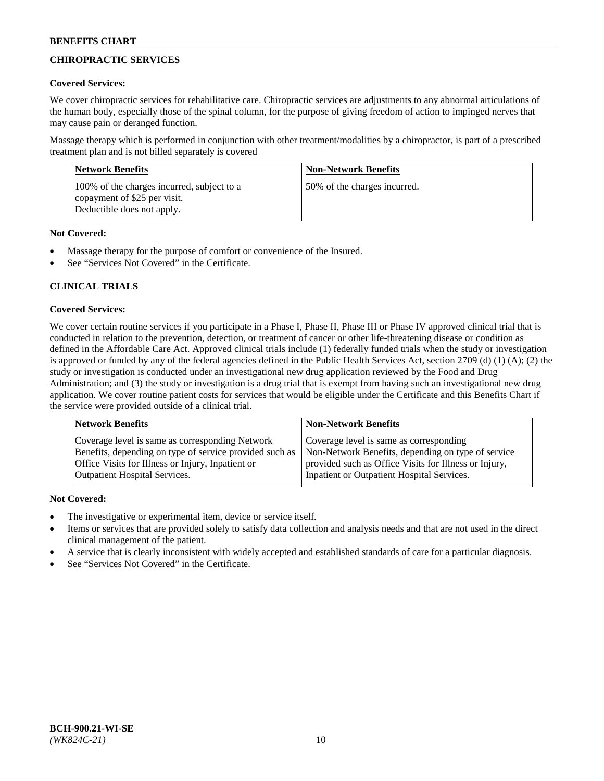# **CHIROPRACTIC SERVICES**

## **Covered Services:**

We cover chiropractic services for rehabilitative care. Chiropractic services are adjustments to any abnormal articulations of the human body, especially those of the spinal column, for the purpose of giving freedom of action to impinged nerves that may cause pain or deranged function.

Massage therapy which is performed in conjunction with other treatment/modalities by a chiropractor, is part of a prescribed treatment plan and is not billed separately is covered

| <b>Network Benefits</b>                                                                                  | <b>Non-Network Benefits</b>  |
|----------------------------------------------------------------------------------------------------------|------------------------------|
| 100% of the charges incurred, subject to a<br>copayment of \$25 per visit.<br>Deductible does not apply. | 50% of the charges incurred. |

## **Not Covered:**

- Massage therapy for the purpose of comfort or convenience of the Insured.
- See "Services Not Covered" in the Certificate.

# **CLINICAL TRIALS**

## **Covered Services:**

We cover certain routine services if you participate in a Phase I, Phase II, Phase III or Phase IV approved clinical trial that is conducted in relation to the prevention, detection, or treatment of cancer or other life-threatening disease or condition as defined in the Affordable Care Act. Approved clinical trials include (1) federally funded trials when the study or investigation is approved or funded by any of the federal agencies defined in the Public Health Services Act, section 2709 (d) (1) (A); (2) the study or investigation is conducted under an investigational new drug application reviewed by the Food and Drug Administration; and (3) the study or investigation is a drug trial that is exempt from having such an investigational new drug application. We cover routine patient costs for services that would be eligible under the Certificate and this Benefits Chart if the service were provided outside of a clinical trial.

| <b>Network Benefits</b>                                 | <b>Non-Network Benefits</b>                           |
|---------------------------------------------------------|-------------------------------------------------------|
| Coverage level is same as corresponding Network         | Coverage level is same as corresponding               |
| Benefits, depending on type of service provided such as | Non-Network Benefits, depending on type of service    |
| Office Visits for Illness or Injury, Inpatient or       | provided such as Office Visits for Illness or Injury, |
| <b>Outpatient Hospital Services.</b>                    | Inpatient or Outpatient Hospital Services.            |

# **Not Covered:**

- The investigative or experimental item, device or service itself.
- Items or services that are provided solely to satisfy data collection and analysis needs and that are not used in the direct clinical management of the patient.
- A service that is clearly inconsistent with widely accepted and established standards of care for a particular diagnosis.
- See "Services Not Covered" in the Certificate.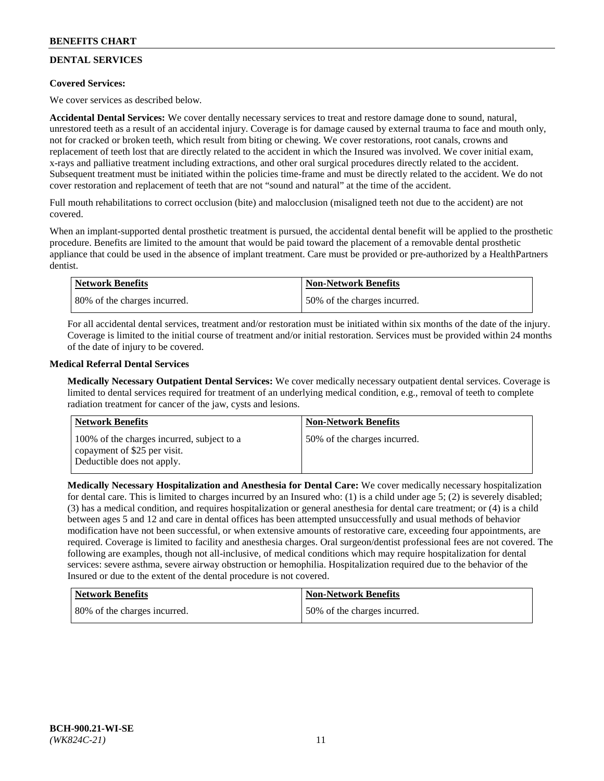# **DENTAL SERVICES**

## **Covered Services:**

We cover services as described below.

**Accidental Dental Services:** We cover dentally necessary services to treat and restore damage done to sound, natural, unrestored teeth as a result of an accidental injury. Coverage is for damage caused by external trauma to face and mouth only, not for cracked or broken teeth, which result from biting or chewing. We cover restorations, root canals, crowns and replacement of teeth lost that are directly related to the accident in which the Insured was involved. We cover initial exam, x-rays and palliative treatment including extractions, and other oral surgical procedures directly related to the accident. Subsequent treatment must be initiated within the policies time-frame and must be directly related to the accident. We do not cover restoration and replacement of teeth that are not "sound and natural" at the time of the accident.

Full mouth rehabilitations to correct occlusion (bite) and malocclusion (misaligned teeth not due to the accident) are not covered.

When an implant-supported dental prosthetic treatment is pursued, the accidental dental benefit will be applied to the prosthetic procedure. Benefits are limited to the amount that would be paid toward the placement of a removable dental prosthetic appliance that could be used in the absence of implant treatment. Care must be provided or pre-authorized by a HealthPartners dentist.

| <b>Network Benefits</b>      | <b>Non-Network Benefits</b>  |
|------------------------------|------------------------------|
| 80% of the charges incurred. | 50% of the charges incurred. |

For all accidental dental services, treatment and/or restoration must be initiated within six months of the date of the injury. Coverage is limited to the initial course of treatment and/or initial restoration. Services must be provided within 24 months of the date of injury to be covered.

### **Medical Referral Dental Services**

**Medically Necessary Outpatient Dental Services:** We cover medically necessary outpatient dental services. Coverage is limited to dental services required for treatment of an underlying medical condition, e.g., removal of teeth to complete radiation treatment for cancer of the jaw, cysts and lesions.

| <b>Network Benefits</b>                                                                                  | <b>Non-Network Benefits</b>  |
|----------------------------------------------------------------------------------------------------------|------------------------------|
| 100% of the charges incurred, subject to a<br>copayment of \$25 per visit.<br>Deductible does not apply. | 50% of the charges incurred. |

**Medically Necessary Hospitalization and Anesthesia for Dental Care:** We cover medically necessary hospitalization for dental care. This is limited to charges incurred by an Insured who: (1) is a child under age 5; (2) is severely disabled; (3) has a medical condition, and requires hospitalization or general anesthesia for dental care treatment; or (4) is a child between ages 5 and 12 and care in dental offices has been attempted unsuccessfully and usual methods of behavior modification have not been successful, or when extensive amounts of restorative care, exceeding four appointments, are required. Coverage is limited to facility and anesthesia charges. Oral surgeon/dentist professional fees are not covered. The following are examples, though not all-inclusive, of medical conditions which may require hospitalization for dental services: severe asthma, severe airway obstruction or hemophilia. Hospitalization required due to the behavior of the Insured or due to the extent of the dental procedure is not covered.

| Network Benefits             | <b>Non-Network Benefits</b>  |
|------------------------------|------------------------------|
| 80% of the charges incurred. | 50% of the charges incurred. |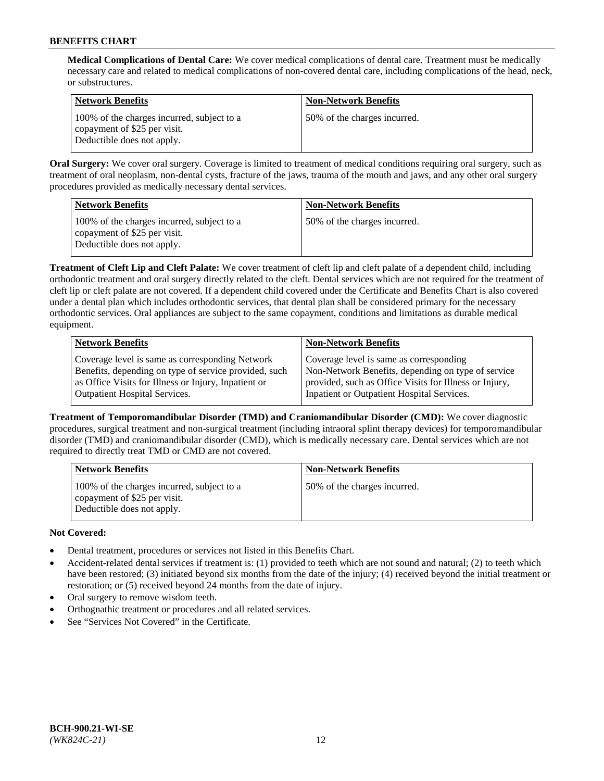**Medical Complications of Dental Care:** We cover medical complications of dental care. Treatment must be medically necessary care and related to medical complications of non-covered dental care, including complications of the head, neck, or substructures.

| <b>Network Benefits</b>                                                                                  | <b>Non-Network Benefits</b>  |
|----------------------------------------------------------------------------------------------------------|------------------------------|
| 100% of the charges incurred, subject to a<br>copayment of \$25 per visit.<br>Deductible does not apply. | 50% of the charges incurred. |

**Oral Surgery:** We cover oral surgery. Coverage is limited to treatment of medical conditions requiring oral surgery, such as treatment of oral neoplasm, non-dental cysts, fracture of the jaws, trauma of the mouth and jaws, and any other oral surgery procedures provided as medically necessary dental services.

| <b>Network Benefits</b>                                                                                  | <b>Non-Network Benefits</b>  |
|----------------------------------------------------------------------------------------------------------|------------------------------|
| 100% of the charges incurred, subject to a<br>copayment of \$25 per visit.<br>Deductible does not apply. | 50% of the charges incurred. |

**Treatment of Cleft Lip and Cleft Palate:** We cover treatment of cleft lip and cleft palate of a dependent child, including orthodontic treatment and oral surgery directly related to the cleft. Dental services which are not required for the treatment of cleft lip or cleft palate are not covered. If a dependent child covered under the Certificate and Benefits Chart is also covered under a dental plan which includes orthodontic services, that dental plan shall be considered primary for the necessary orthodontic services. Oral appliances are subject to the same copayment, conditions and limitations as durable medical equipment.

| <b>Network Benefits</b>                               | <b>Non-Network Benefits</b>                            |
|-------------------------------------------------------|--------------------------------------------------------|
| Coverage level is same as corresponding Network       | Coverage level is same as corresponding                |
| Benefits, depending on type of service provided, such | Non-Network Benefits, depending on type of service     |
| as Office Visits for Illness or Injury, Inpatient or  | provided, such as Office Visits for Illness or Injury, |
| Outpatient Hospital Services.                         | Inpatient or Outpatient Hospital Services.             |

**Treatment of Temporomandibular Disorder (TMD) and Craniomandibular Disorder (CMD):** We cover diagnostic procedures, surgical treatment and non-surgical treatment (including intraoral splint therapy devices) for temporomandibular disorder (TMD) and craniomandibular disorder (CMD), which is medically necessary care. Dental services which are not required to directly treat TMD or CMD are not covered.

| <b>Network Benefits</b>                                                                                  | <b>Non-Network Benefits</b>  |
|----------------------------------------------------------------------------------------------------------|------------------------------|
| 100% of the charges incurred, subject to a<br>copayment of \$25 per visit.<br>Deductible does not apply. | 50% of the charges incurred. |

## **Not Covered:**

- Dental treatment, procedures or services not listed in this Benefits Chart.
- Accident-related dental services if treatment is: (1) provided to teeth which are not sound and natural; (2) to teeth which have been restored; (3) initiated beyond six months from the date of the injury; (4) received beyond the initial treatment or restoration; or (5) received beyond 24 months from the date of injury.
- Oral surgery to remove wisdom teeth.
- Orthognathic treatment or procedures and all related services.
- See "Services Not Covered" in the Certificate.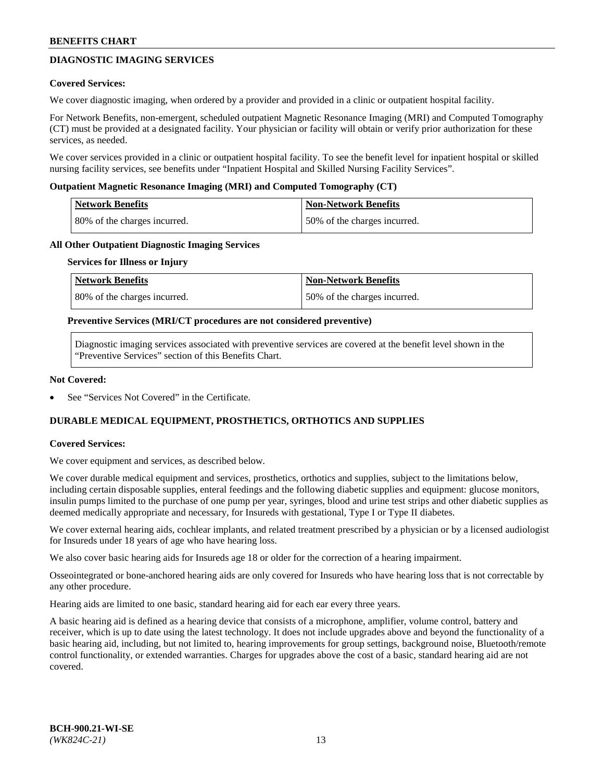# **DIAGNOSTIC IMAGING SERVICES**

### **Covered Services:**

We cover diagnostic imaging, when ordered by a provider and provided in a clinic or outpatient hospital facility.

For Network Benefits, non-emergent, scheduled outpatient Magnetic Resonance Imaging (MRI) and Computed Tomography (CT) must be provided at a designated facility. Your physician or facility will obtain or verify prior authorization for these services, as needed.

We cover services provided in a clinic or outpatient hospital facility. To see the benefit level for inpatient hospital or skilled nursing facility services, see benefits under "Inpatient Hospital and Skilled Nursing Facility Services".

### **Outpatient Magnetic Resonance Imaging (MRI) and Computed Tomography (CT)**

| <b>Network Benefits</b>      | <b>Non-Network Benefits</b>  |
|------------------------------|------------------------------|
| 80% of the charges incurred. | 50% of the charges incurred. |

### **All Other Outpatient Diagnostic Imaging Services**

#### **Services for Illness or Injury**

| Network Benefits             | <b>Non-Network Benefits</b>  |
|------------------------------|------------------------------|
| 80% of the charges incurred. | 50% of the charges incurred. |

### **Preventive Services (MRI/CT procedures are not considered preventive)**

Diagnostic imaging services associated with preventive services are covered at the benefit level shown in the "Preventive Services" section of this Benefits Chart.

### **Not Covered:**

See "Services Not Covered" in the Certificate.

# **DURABLE MEDICAL EQUIPMENT, PROSTHETICS, ORTHOTICS AND SUPPLIES**

#### **Covered Services:**

We cover equipment and services, as described below.

We cover durable medical equipment and services, prosthetics, orthotics and supplies, subject to the limitations below, including certain disposable supplies, enteral feedings and the following diabetic supplies and equipment: glucose monitors, insulin pumps limited to the purchase of one pump per year, syringes, blood and urine test strips and other diabetic supplies as deemed medically appropriate and necessary, for Insureds with gestational, Type I or Type II diabetes.

We cover external hearing aids, cochlear implants, and related treatment prescribed by a physician or by a licensed audiologist for Insureds under 18 years of age who have hearing loss.

We also cover basic hearing aids for Insureds age 18 or older for the correction of a hearing impairment.

Osseointegrated or bone-anchored hearing aids are only covered for Insureds who have hearing loss that is not correctable by any other procedure.

Hearing aids are limited to one basic, standard hearing aid for each ear every three years.

A basic hearing aid is defined as a hearing device that consists of a microphone, amplifier, volume control, battery and receiver, which is up to date using the latest technology. It does not include upgrades above and beyond the functionality of a basic hearing aid, including, but not limited to, hearing improvements for group settings, background noise, Bluetooth/remote control functionality, or extended warranties. Charges for upgrades above the cost of a basic, standard hearing aid are not covered.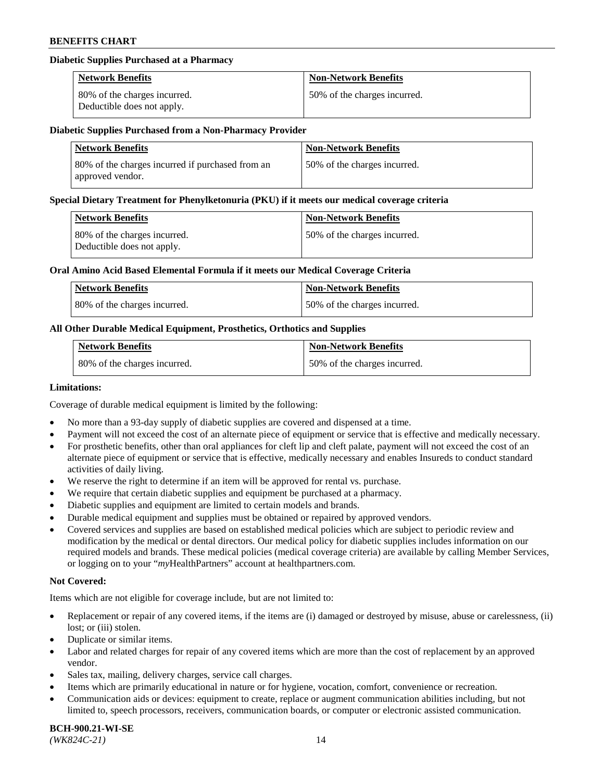### **Diabetic Supplies Purchased at a Pharmacy**

| <b>Network Benefits</b>                                    | <b>Non-Network Benefits</b>  |
|------------------------------------------------------------|------------------------------|
| 80% of the charges incurred.<br>Deductible does not apply. | 50% of the charges incurred. |

#### **Diabetic Supplies Purchased from a Non-Pharmacy Provider**

| <b>Network Benefits</b>                                               | <b>Non-Network Benefits</b>  |
|-----------------------------------------------------------------------|------------------------------|
| 180% of the charges incurred if purchased from an<br>approved vendor. | 50% of the charges incurred. |

#### **Special Dietary Treatment for Phenylketonuria (PKU) if it meets our medical coverage criteria**

| Network Benefits                                           | <b>Non-Network Benefits</b>  |
|------------------------------------------------------------|------------------------------|
| 80% of the charges incurred.<br>Deductible does not apply. | 50% of the charges incurred. |

### **Oral Amino Acid Based Elemental Formula if it meets our Medical Coverage Criteria**

| Network Benefits             | <b>Non-Network Benefits</b>  |
|------------------------------|------------------------------|
| 80% of the charges incurred. | 50% of the charges incurred. |

## **All Other Durable Medical Equipment, Prosthetics, Orthotics and Supplies**

| <b>Network Benefits</b>      | <b>Non-Network Benefits</b>  |
|------------------------------|------------------------------|
| 80% of the charges incurred. | 50% of the charges incurred. |

#### **Limitations:**

Coverage of durable medical equipment is limited by the following:

- No more than a 93-day supply of diabetic supplies are covered and dispensed at a time.
- Payment will not exceed the cost of an alternate piece of equipment or service that is effective and medically necessary.
- For prosthetic benefits, other than oral appliances for cleft lip and cleft palate, payment will not exceed the cost of an alternate piece of equipment or service that is effective, medically necessary and enables Insureds to conduct standard
- activities of daily living. We reserve the right to determine if an item will be approved for rental vs. purchase.
- We require that certain diabetic supplies and equipment be purchased at a pharmacy.
- Diabetic supplies and equipment are limited to certain models and brands.
- Durable medical equipment and supplies must be obtained or repaired by approved vendors.
- Covered services and supplies are based on established medical policies which are subject to periodic review and modification by the medical or dental directors. Our medical policy for diabetic supplies includes information on our required models and brands. These medical policies (medical coverage criteria) are available by calling Member Services, or logging on to your "*my*HealthPartners" account a[t healthpartners.com.](https://www.healthpartners.com/hp/index.html)

### **Not Covered:**

Items which are not eligible for coverage include, but are not limited to:

- Replacement or repair of any covered items, if the items are (i) damaged or destroyed by misuse, abuse or carelessness, (ii) lost; or (iii) stolen.
- Duplicate or similar items.
- Labor and related charges for repair of any covered items which are more than the cost of replacement by an approved vendor.
- Sales tax, mailing, delivery charges, service call charges.
- Items which are primarily educational in nature or for hygiene, vocation, comfort, convenience or recreation.
- Communication aids or devices: equipment to create, replace or augment communication abilities including, but not limited to, speech processors, receivers, communication boards, or computer or electronic assisted communication.

#### **BCH-900.21-WI-SE**  *(WK824C-21)* 14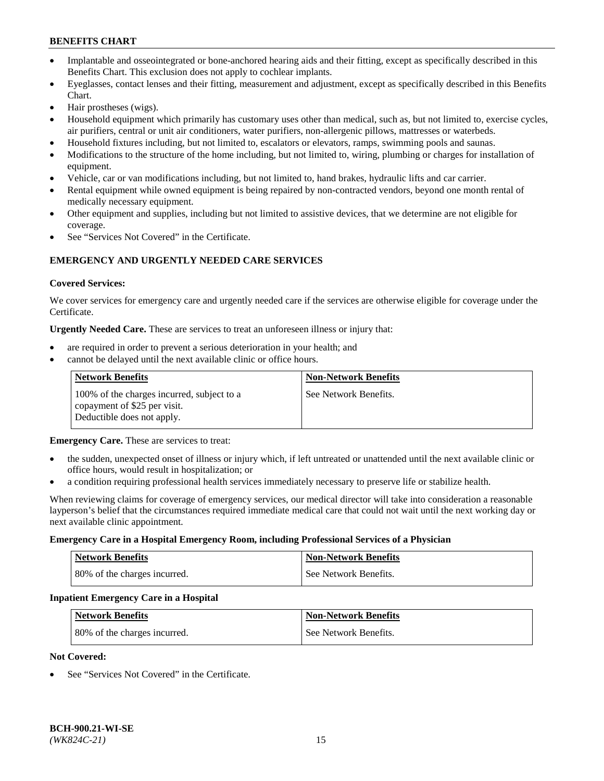- Implantable and osseointegrated or bone-anchored hearing aids and their fitting, except as specifically described in this Benefits Chart. This exclusion does not apply to cochlear implants.
- Eyeglasses, contact lenses and their fitting, measurement and adjustment, except as specifically described in this Benefits Chart.
- Hair prostheses (wigs).
- Household equipment which primarily has customary uses other than medical, such as, but not limited to, exercise cycles, air purifiers, central or unit air conditioners, water purifiers, non-allergenic pillows, mattresses or waterbeds.
- Household fixtures including, but not limited to, escalators or elevators, ramps, swimming pools and saunas.
- Modifications to the structure of the home including, but not limited to, wiring, plumbing or charges for installation of equipment.
- Vehicle, car or van modifications including, but not limited to, hand brakes, hydraulic lifts and car carrier.
- Rental equipment while owned equipment is being repaired by non-contracted vendors, beyond one month rental of medically necessary equipment.
- Other equipment and supplies, including but not limited to assistive devices, that we determine are not eligible for coverage.
- See "Services Not Covered" in the Certificate.

## **EMERGENCY AND URGENTLY NEEDED CARE SERVICES**

### **Covered Services:**

We cover services for emergency care and urgently needed care if the services are otherwise eligible for coverage under the Certificate.

**Urgently Needed Care.** These are services to treat an unforeseen illness or injury that:

- are required in order to prevent a serious deterioration in your health; and
- cannot be delayed until the next available clinic or office hours.

| <b>Network Benefits</b>                                                                                  | <b>Non-Network Benefits</b> |
|----------------------------------------------------------------------------------------------------------|-----------------------------|
| 100% of the charges incurred, subject to a<br>copayment of \$25 per visit.<br>Deductible does not apply. | See Network Benefits.       |

**Emergency Care.** These are services to treat:

- the sudden, unexpected onset of illness or injury which, if left untreated or unattended until the next available clinic or office hours, would result in hospitalization; or
- a condition requiring professional health services immediately necessary to preserve life or stabilize health.

When reviewing claims for coverage of emergency services, our medical director will take into consideration a reasonable layperson's belief that the circumstances required immediate medical care that could not wait until the next working day or next available clinic appointment.

#### **Emergency Care in a Hospital Emergency Room, including Professional Services of a Physician**

| <b>Network Benefits</b>      | <b>Non-Network Benefits</b> |
|------------------------------|-----------------------------|
| 80% of the charges incurred. | See Network Benefits.       |

#### **Inpatient Emergency Care in a Hospital**

| <b>Network Benefits</b>      | <b>Non-Network Benefits</b> |
|------------------------------|-----------------------------|
| 80% of the charges incurred. | See Network Benefits.       |

#### **Not Covered:**

See "Services Not Covered" in the Certificate.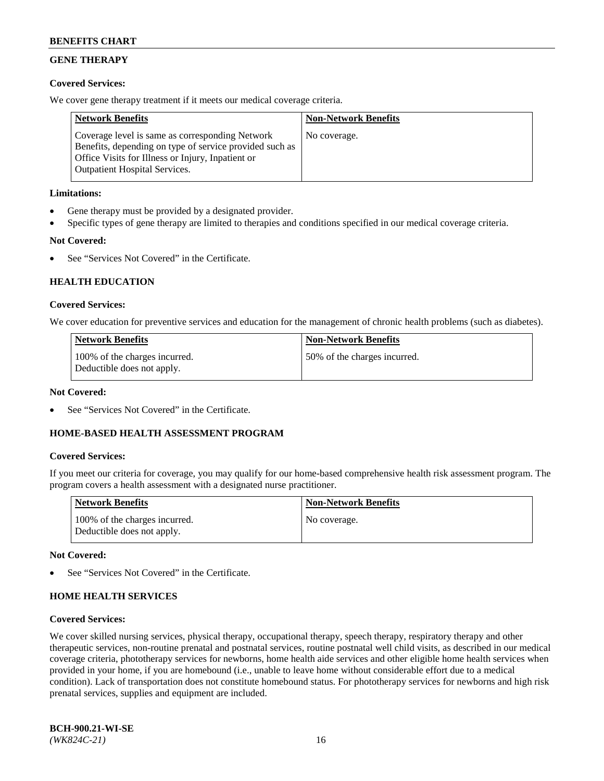# **GENE THERAPY**

## **Covered Services:**

We cover gene therapy treatment if it meets our medical coverage criteria.

| <b>Network Benefits</b>                                                                                                                                                                                 | <b>Non-Network Benefits</b> |
|---------------------------------------------------------------------------------------------------------------------------------------------------------------------------------------------------------|-----------------------------|
| Coverage level is same as corresponding Network<br>Benefits, depending on type of service provided such as<br>Office Visits for Illness or Injury, Inpatient or<br><b>Outpatient Hospital Services.</b> | No coverage.                |

## **Limitations:**

- Gene therapy must be provided by a designated provider.
- Specific types of gene therapy are limited to therapies and conditions specified in our medical coverage criteria.

# **Not Covered:**

See "Services Not Covered" in the Certificate.

## **HEALTH EDUCATION**

## **Covered Services:**

We cover education for preventive services and education for the management of chronic health problems (such as diabetes).

| <b>Network Benefits</b>                                     | <b>Non-Network Benefits</b>  |
|-------------------------------------------------------------|------------------------------|
| 100% of the charges incurred.<br>Deductible does not apply. | 50% of the charges incurred. |

### **Not Covered:**

See "Services Not Covered" in the Certificate.

## **HOME-BASED HEALTH ASSESSMENT PROGRAM**

## **Covered Services:**

If you meet our criteria for coverage, you may qualify for our home-based comprehensive health risk assessment program. The program covers a health assessment with a designated nurse practitioner.

| <b>Network Benefits</b>                                     | <b>Non-Network Benefits</b> |
|-------------------------------------------------------------|-----------------------------|
| 100% of the charges incurred.<br>Deductible does not apply. | No coverage.                |

#### **Not Covered:**

See "Services Not Covered" in the Certificate.

## **HOME HEALTH SERVICES**

#### **Covered Services:**

We cover skilled nursing services, physical therapy, occupational therapy, speech therapy, respiratory therapy and other therapeutic services, non-routine prenatal and postnatal services, routine postnatal well child visits, as described in our medical coverage criteria, phototherapy services for newborns, home health aide services and other eligible home health services when provided in your home, if you are homebound (i.e., unable to leave home without considerable effort due to a medical condition). Lack of transportation does not constitute homebound status. For phototherapy services for newborns and high risk prenatal services, supplies and equipment are included.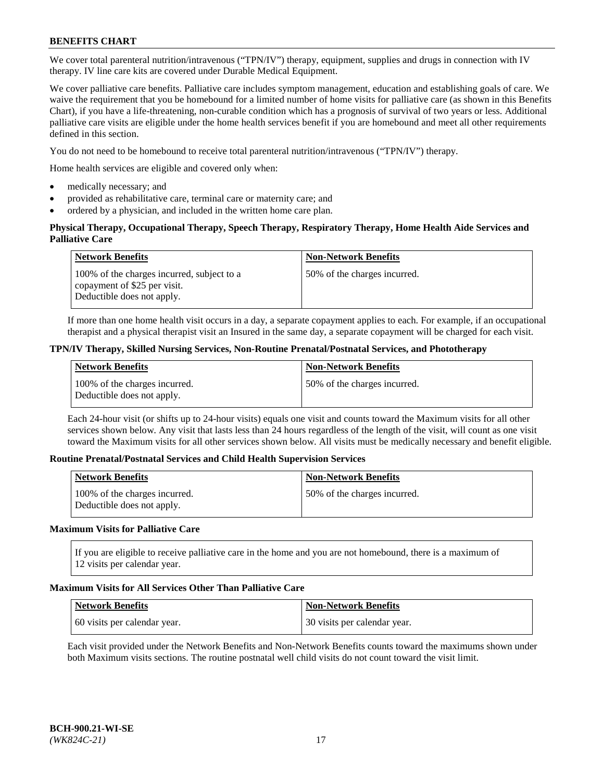We cover total parenteral nutrition/intravenous ("TPN/IV") therapy, equipment, supplies and drugs in connection with IV therapy. IV line care kits are covered under Durable Medical Equipment.

We cover palliative care benefits. Palliative care includes symptom management, education and establishing goals of care. We waive the requirement that you be homebound for a limited number of home visits for palliative care (as shown in this Benefits Chart), if you have a life-threatening, non-curable condition which has a prognosis of survival of two years or less. Additional palliative care visits are eligible under the home health services benefit if you are homebound and meet all other requirements defined in this section.

You do not need to be homebound to receive total parenteral nutrition/intravenous ("TPN/IV") therapy.

Home health services are eligible and covered only when:

- medically necessary; and
- provided as rehabilitative care, terminal care or maternity care; and
- ordered by a physician, and included in the written home care plan.

### **Physical Therapy, Occupational Therapy, Speech Therapy, Respiratory Therapy, Home Health Aide Services and Palliative Care**

| <b>Network Benefits</b>                                                                                  | <b>Non-Network Benefits</b>  |
|----------------------------------------------------------------------------------------------------------|------------------------------|
| 100% of the charges incurred, subject to a<br>copayment of \$25 per visit.<br>Deductible does not apply. | 50% of the charges incurred. |

If more than one home health visit occurs in a day, a separate copayment applies to each. For example, if an occupational therapist and a physical therapist visit an Insured in the same day, a separate copayment will be charged for each visit.

### **TPN/IV Therapy, Skilled Nursing Services, Non-Routine Prenatal/Postnatal Services, and Phototherapy**

| Network Benefits                                            | <b>Non-Network Benefits</b>  |
|-------------------------------------------------------------|------------------------------|
| 100% of the charges incurred.<br>Deductible does not apply. | 50% of the charges incurred. |

Each 24-hour visit (or shifts up to 24-hour visits) equals one visit and counts toward the Maximum visits for all other services shown below. Any visit that lasts less than 24 hours regardless of the length of the visit, will count as one visit toward the Maximum visits for all other services shown below. All visits must be medically necessary and benefit eligible.

#### **Routine Prenatal/Postnatal Services and Child Health Supervision Services**

| <b>Network Benefits</b>                                     | <b>Non-Network Benefits</b>  |
|-------------------------------------------------------------|------------------------------|
| 100% of the charges incurred.<br>Deductible does not apply. | 50% of the charges incurred. |

## **Maximum Visits for Palliative Care**

If you are eligible to receive palliative care in the home and you are not homebound, there is a maximum of 12 visits per calendar year.

#### **Maximum Visits for All Services Other Than Palliative Care**

| Network Benefits             | <b>Non-Network Benefits</b>  |
|------------------------------|------------------------------|
| 60 visits per calendar year. | 30 visits per calendar year. |

Each visit provided under the Network Benefits and Non-Network Benefits counts toward the maximums shown under both Maximum visits sections. The routine postnatal well child visits do not count toward the visit limit.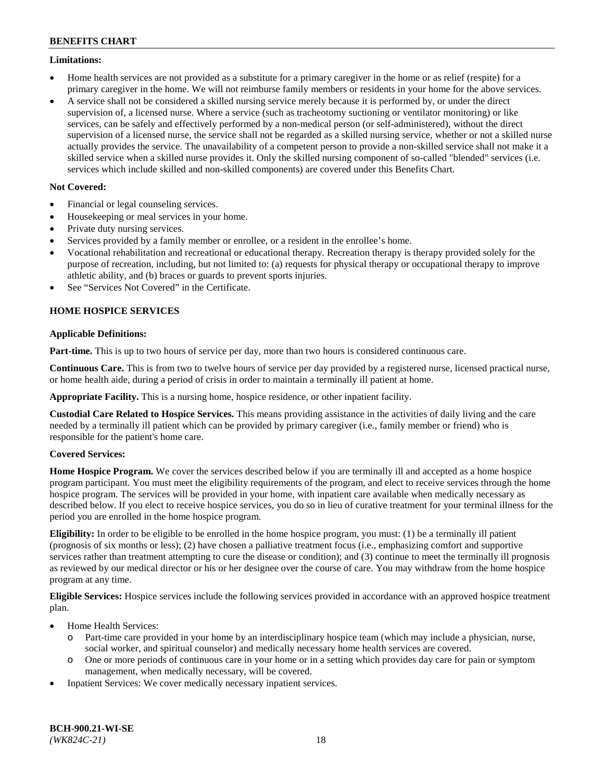### **Limitations:**

- Home health services are not provided as a substitute for a primary caregiver in the home or as relief (respite) for a primary caregiver in the home. We will not reimburse family members or residents in your home for the above services.
- A service shall not be considered a skilled nursing service merely because it is performed by, or under the direct supervision of, a licensed nurse. Where a service (such as tracheotomy suctioning or ventilator monitoring) or like services, can be safely and effectively performed by a non-medical person (or self-administered), without the direct supervision of a licensed nurse, the service shall not be regarded as a skilled nursing service, whether or not a skilled nurse actually provides the service. The unavailability of a competent person to provide a non-skilled service shall not make it a skilled service when a skilled nurse provides it. Only the skilled nursing component of so-called "blended" services (i.e. services which include skilled and non-skilled components) are covered under this Benefits Chart.

## **Not Covered:**

- Financial or legal counseling services.
- Housekeeping or meal services in your home.
- Private duty nursing services.
- Services provided by a family member or enrollee, or a resident in the enrollee's home.
- Vocational rehabilitation and recreational or educational therapy. Recreation therapy is therapy provided solely for the purpose of recreation, including, but not limited to: (a) requests for physical therapy or occupational therapy to improve athletic ability, and (b) braces or guards to prevent sports injuries.
- See "Services Not Covered" in the Certificate.

## **HOME HOSPICE SERVICES**

## **Applicable Definitions:**

**Part-time.** This is up to two hours of service per day, more than two hours is considered continuous care.

**Continuous Care.** This is from two to twelve hours of service per day provided by a registered nurse, licensed practical nurse, or home health aide, during a period of crisis in order to maintain a terminally ill patient at home.

**Appropriate Facility.** This is a nursing home, hospice residence, or other inpatient facility.

**Custodial Care Related to Hospice Services.** This means providing assistance in the activities of daily living and the care needed by a terminally ill patient which can be provided by primary caregiver (i.e., family member or friend) who is responsible for the patient's home care.

## **Covered Services:**

**Home Hospice Program.** We cover the services described below if you are terminally ill and accepted as a home hospice program participant. You must meet the eligibility requirements of the program, and elect to receive services through the home hospice program. The services will be provided in your home, with inpatient care available when medically necessary as described below. If you elect to receive hospice services, you do so in lieu of curative treatment for your terminal illness for the period you are enrolled in the home hospice program.

**Eligibility:** In order to be eligible to be enrolled in the home hospice program, you must: (1) be a terminally ill patient (prognosis of six months or less); (2) have chosen a palliative treatment focus (i.e., emphasizing comfort and supportive services rather than treatment attempting to cure the disease or condition); and (3) continue to meet the terminally ill prognosis as reviewed by our medical director or his or her designee over the course of care. You may withdraw from the home hospice program at any time.

**Eligible Services:** Hospice services include the following services provided in accordance with an approved hospice treatment plan.

- Home Health Services:
	- o Part-time care provided in your home by an interdisciplinary hospice team (which may include a physician, nurse, social worker, and spiritual counselor) and medically necessary home health services are covered.
	- o One or more periods of continuous care in your home or in a setting which provides day care for pain or symptom management, when medically necessary, will be covered.
- Inpatient Services: We cover medically necessary inpatient services.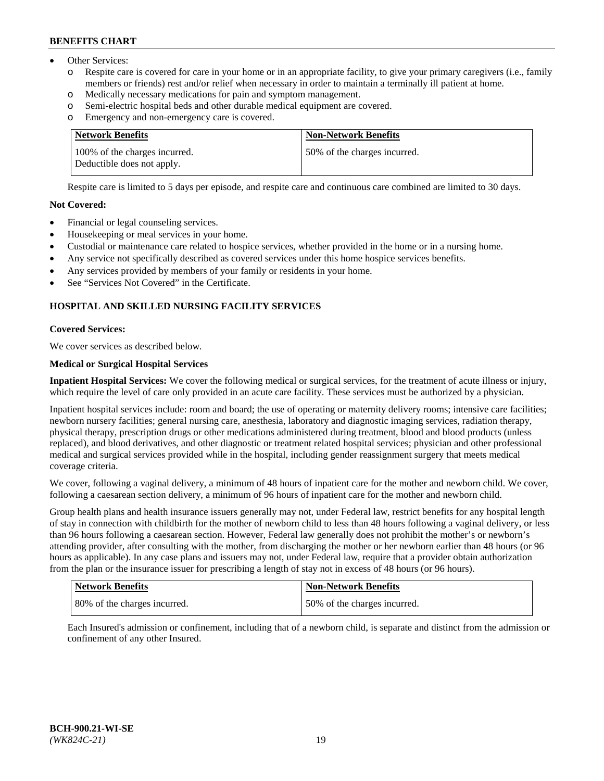- Other Services:
	- Respite care is covered for care in your home or in an appropriate facility, to give your primary caregivers (i.e., family members or friends) rest and/or relief when necessary in order to maintain a terminally ill patient at home.
	- o Medically necessary medications for pain and symptom management.
	- o Semi-electric hospital beds and other durable medical equipment are covered.
	- Emergency and non-emergency care is covered.

| Network Benefits                                            | <b>Non-Network Benefits</b>  |
|-------------------------------------------------------------|------------------------------|
| 100% of the charges incurred.<br>Deductible does not apply. | 50% of the charges incurred. |

Respite care is limited to 5 days per episode, and respite care and continuous care combined are limited to 30 days.

### **Not Covered:**

- Financial or legal counseling services.
- Housekeeping or meal services in your home.
- Custodial or maintenance care related to hospice services, whether provided in the home or in a nursing home.
- Any service not specifically described as covered services under this home hospice services benefits.
- Any services provided by members of your family or residents in your home.
- See "Services Not Covered" in the Certificate.

## **HOSPITAL AND SKILLED NURSING FACILITY SERVICES**

#### **Covered Services:**

We cover services as described below.

## **Medical or Surgical Hospital Services**

**Inpatient Hospital Services:** We cover the following medical or surgical services, for the treatment of acute illness or injury, which require the level of care only provided in an acute care facility. These services must be authorized by a physician.

Inpatient hospital services include: room and board; the use of operating or maternity delivery rooms; intensive care facilities; newborn nursery facilities; general nursing care, anesthesia, laboratory and diagnostic imaging services, radiation therapy, physical therapy, prescription drugs or other medications administered during treatment, blood and blood products (unless replaced), and blood derivatives, and other diagnostic or treatment related hospital services; physician and other professional medical and surgical services provided while in the hospital, including gender reassignment surgery that meets medical coverage criteria.

We cover, following a vaginal delivery, a minimum of 48 hours of inpatient care for the mother and newborn child. We cover, following a caesarean section delivery, a minimum of 96 hours of inpatient care for the mother and newborn child.

Group health plans and health insurance issuers generally may not, under Federal law, restrict benefits for any hospital length of stay in connection with childbirth for the mother of newborn child to less than 48 hours following a vaginal delivery, or less than 96 hours following a caesarean section. However, Federal law generally does not prohibit the mother's or newborn's attending provider, after consulting with the mother, from discharging the mother or her newborn earlier than 48 hours (or 96 hours as applicable). In any case plans and issuers may not, under Federal law, require that a provider obtain authorization from the plan or the insurance issuer for prescribing a length of stay not in excess of 48 hours (or 96 hours).

| <b>Network Benefits</b>      | Non-Network Benefits         |
|------------------------------|------------------------------|
| 80% of the charges incurred. | 50% of the charges incurred. |

Each Insured's admission or confinement, including that of a newborn child, is separate and distinct from the admission or confinement of any other Insured.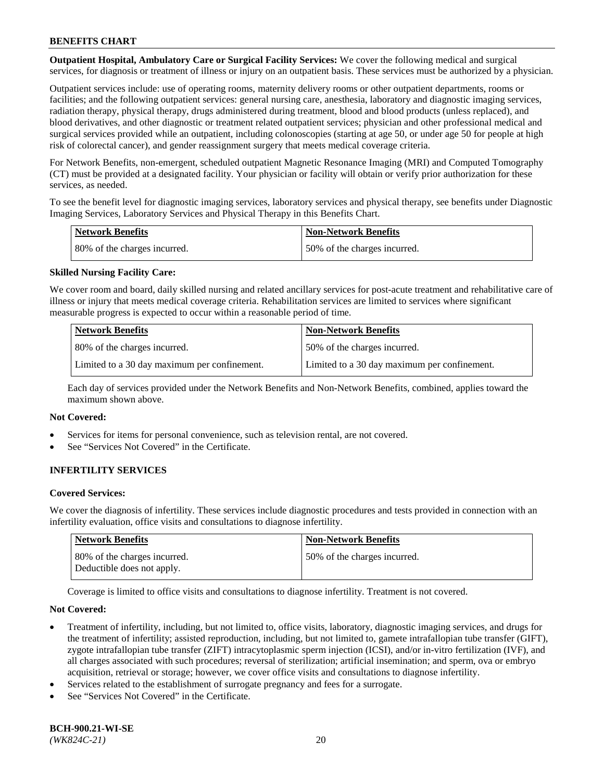**Outpatient Hospital, Ambulatory Care or Surgical Facility Services:** We cover the following medical and surgical services, for diagnosis or treatment of illness or injury on an outpatient basis. These services must be authorized by a physician.

Outpatient services include: use of operating rooms, maternity delivery rooms or other outpatient departments, rooms or facilities; and the following outpatient services: general nursing care, anesthesia, laboratory and diagnostic imaging services, radiation therapy, physical therapy, drugs administered during treatment, blood and blood products (unless replaced), and blood derivatives, and other diagnostic or treatment related outpatient services; physician and other professional medical and surgical services provided while an outpatient, including colonoscopies (starting at age 50, or under age 50 for people at high risk of colorectal cancer), and gender reassignment surgery that meets medical coverage criteria.

For Network Benefits, non-emergent, scheduled outpatient Magnetic Resonance Imaging (MRI) and Computed Tomography (CT) must be provided at a designated facility. Your physician or facility will obtain or verify prior authorization for these services, as needed.

To see the benefit level for diagnostic imaging services, laboratory services and physical therapy, see benefits under Diagnostic Imaging Services, Laboratory Services and Physical Therapy in this Benefits Chart.

| <b>Network Benefits</b>      | <b>Non-Network Benefits</b>  |
|------------------------------|------------------------------|
| 80% of the charges incurred. | 50% of the charges incurred. |

## **Skilled Nursing Facility Care:**

We cover room and board, daily skilled nursing and related ancillary services for post-acute treatment and rehabilitative care of illness or injury that meets medical coverage criteria. Rehabilitation services are limited to services where significant measurable progress is expected to occur within a reasonable period of time.

| Network Benefits                             | <b>Non-Network Benefits</b>                  |
|----------------------------------------------|----------------------------------------------|
| 80% of the charges incurred.                 | 50% of the charges incurred.                 |
| Limited to a 30 day maximum per confinement. | Limited to a 30 day maximum per confinement. |

Each day of services provided under the Network Benefits and Non-Network Benefits, combined, applies toward the maximum shown above.

#### **Not Covered:**

- Services for items for personal convenience, such as television rental, are not covered.
- See "Services Not Covered" in the Certificate.

## **INFERTILITY SERVICES**

#### **Covered Services:**

We cover the diagnosis of infertility. These services include diagnostic procedures and tests provided in connection with an infertility evaluation, office visits and consultations to diagnose infertility.

| <b>Network Benefits</b>                                    | Non-Network Benefits         |
|------------------------------------------------------------|------------------------------|
| 80% of the charges incurred.<br>Deductible does not apply. | 50% of the charges incurred. |

Coverage is limited to office visits and consultations to diagnose infertility. Treatment is not covered.

#### **Not Covered:**

- Treatment of infertility, including, but not limited to, office visits, laboratory, diagnostic imaging services, and drugs for the treatment of infertility; assisted reproduction, including, but not limited to, gamete intrafallopian tube transfer (GIFT), zygote intrafallopian tube transfer (ZIFT) intracytoplasmic sperm injection (ICSI), and/or in-vitro fertilization (IVF), and all charges associated with such procedures; reversal of sterilization; artificial insemination; and sperm, ova or embryo acquisition, retrieval or storage; however, we cover office visits and consultations to diagnose infertility.
- Services related to the establishment of surrogate pregnancy and fees for a surrogate.
- See "Services Not Covered" in the Certificate.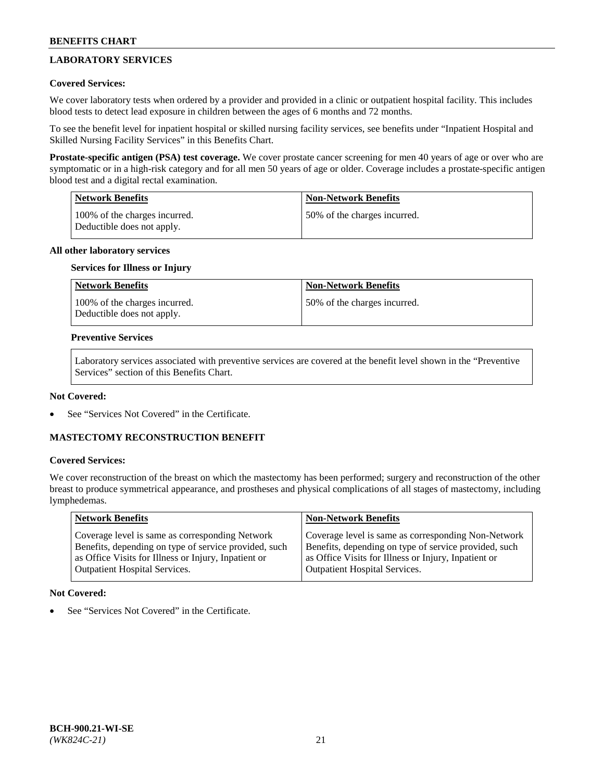# **LABORATORY SERVICES**

## **Covered Services:**

We cover laboratory tests when ordered by a provider and provided in a clinic or outpatient hospital facility. This includes blood tests to detect lead exposure in children between the ages of 6 months and 72 months.

To see the benefit level for inpatient hospital or skilled nursing facility services, see benefits under "Inpatient Hospital and Skilled Nursing Facility Services" in this Benefits Chart.

**Prostate-specific antigen (PSA) test coverage.** We cover prostate cancer screening for men 40 years of age or over who are symptomatic or in a high-risk category and for all men 50 years of age or older. Coverage includes a prostate-specific antigen blood test and a digital rectal examination.

| Network Benefits                                            | <b>Non-Network Benefits</b>  |
|-------------------------------------------------------------|------------------------------|
| 100% of the charges incurred.<br>Deductible does not apply. | 50% of the charges incurred. |

## **All other laboratory services**

### **Services for Illness or Injury**

| <b>Network Benefits</b>                                     | <b>Non-Network Benefits</b>  |
|-------------------------------------------------------------|------------------------------|
| 100% of the charges incurred.<br>Deductible does not apply. | 50% of the charges incurred. |

### **Preventive Services**

Laboratory services associated with preventive services are covered at the benefit level shown in the "Preventive Services" section of this Benefits Chart.

### **Not Covered:**

See "Services Not Covered" in the Certificate.

## **MASTECTOMY RECONSTRUCTION BENEFIT**

#### **Covered Services:**

We cover reconstruction of the breast on which the mastectomy has been performed; surgery and reconstruction of the other breast to produce symmetrical appearance, and prostheses and physical complications of all stages of mastectomy, including lymphedemas.

| <b>Network Benefits</b>                               | <b>Non-Network Benefits</b>                           |
|-------------------------------------------------------|-------------------------------------------------------|
| Coverage level is same as corresponding Network       | Coverage level is same as corresponding Non-Network   |
| Benefits, depending on type of service provided, such | Benefits, depending on type of service provided, such |
| as Office Visits for Illness or Injury, Inpatient or  | as Office Visits for Illness or Injury, Inpatient or  |
| <b>Outpatient Hospital Services.</b>                  | <b>Outpatient Hospital Services.</b>                  |

## **Not Covered:**

See "Services Not Covered" in the Certificate.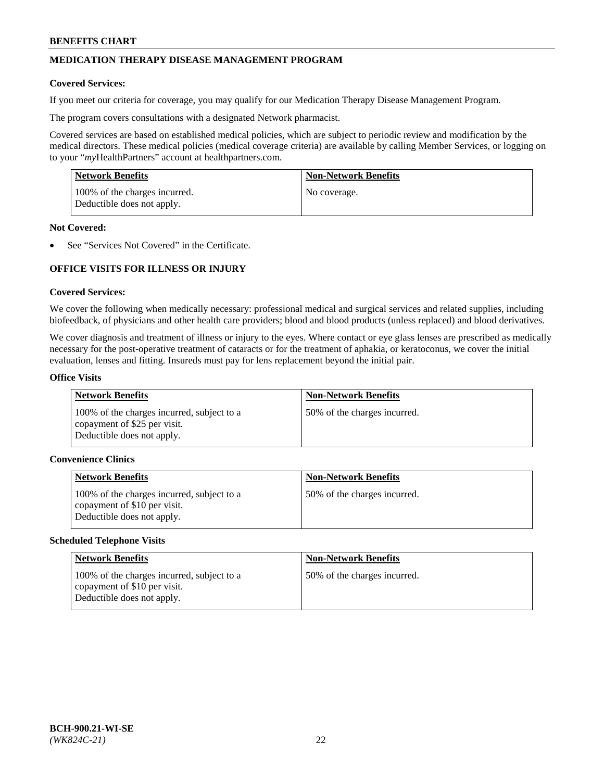# **MEDICATION THERAPY DISEASE MANAGEMENT PROGRAM**

### **Covered Services:**

If you meet our criteria for coverage, you may qualify for our Medication Therapy Disease Management Program.

The program covers consultations with a designated Network pharmacist.

Covered services are based on established medical policies, which are subject to periodic review and modification by the medical directors. These medical policies (medical coverage criteria) are available by calling Member Services, or logging on to your "*my*HealthPartners" account at [healthpartners.com.](http://www.healthpartners.com/)

| Network Benefits                                            | <b>Non-Network Benefits</b> |
|-------------------------------------------------------------|-----------------------------|
| 100% of the charges incurred.<br>Deductible does not apply. | No coverage.                |

### **Not Covered:**

See "Services Not Covered" in the Certificate.

## **OFFICE VISITS FOR ILLNESS OR INJURY**

### **Covered Services:**

We cover the following when medically necessary: professional medical and surgical services and related supplies, including biofeedback, of physicians and other health care providers; blood and blood products (unless replaced) and blood derivatives.

We cover diagnosis and treatment of illness or injury to the eyes. Where contact or eye glass lenses are prescribed as medically necessary for the post-operative treatment of cataracts or for the treatment of aphakia, or keratoconus, we cover the initial evaluation, lenses and fitting. Insureds must pay for lens replacement beyond the initial pair.

#### **Office Visits**

| <b>Network Benefits</b>                                                                                  | <b>Non-Network Benefits</b>  |
|----------------------------------------------------------------------------------------------------------|------------------------------|
| 100% of the charges incurred, subject to a<br>copayment of \$25 per visit.<br>Deductible does not apply. | 50% of the charges incurred. |

### **Convenience Clinics**

| <b>Network Benefits</b>                                                                                  | <b>Non-Network Benefits</b>  |
|----------------------------------------------------------------------------------------------------------|------------------------------|
| 100% of the charges incurred, subject to a<br>copayment of \$10 per visit.<br>Deductible does not apply. | 50% of the charges incurred. |

#### **Scheduled Telephone Visits**

| Network Benefits                                                                                         | <b>Non-Network Benefits</b>  |
|----------------------------------------------------------------------------------------------------------|------------------------------|
| 100% of the charges incurred, subject to a<br>copayment of \$10 per visit.<br>Deductible does not apply. | 50% of the charges incurred. |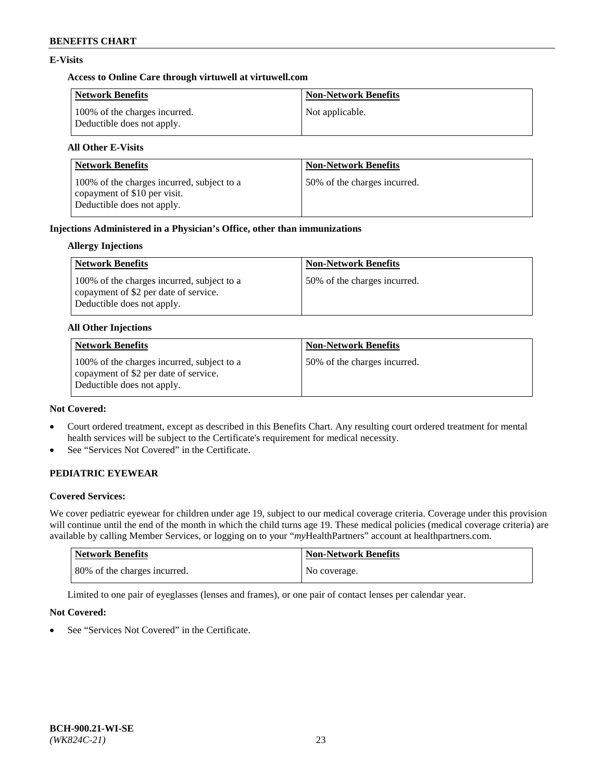## **E-Visits**

## **Access to Online Care through virtuwell a[t virtuwell.com](https://www.virtuwell.com/)**

| Network Benefits                                            | <b>Non-Network Benefits</b> |
|-------------------------------------------------------------|-----------------------------|
| 100% of the charges incurred.<br>Deductible does not apply. | Not applicable.             |

# **All Other E-Visits**

| <b>Network Benefits</b>                                                                                  | <b>Non-Network Benefits</b>  |
|----------------------------------------------------------------------------------------------------------|------------------------------|
| 100% of the charges incurred, subject to a<br>copayment of \$10 per visit.<br>Deductible does not apply. | 50% of the charges incurred. |

## **Injections Administered in a Physician's Office, other than immunizations**

## **Allergy Injections**

| Network Benefits                                                                                                  | <b>Non-Network Benefits</b>  |
|-------------------------------------------------------------------------------------------------------------------|------------------------------|
| 100% of the charges incurred, subject to a<br>copayment of \$2 per date of service.<br>Deductible does not apply. | 50% of the charges incurred. |

### **All Other Injections**

| <b>Network Benefits</b>                                                                                           | <b>Non-Network Benefits</b>  |
|-------------------------------------------------------------------------------------------------------------------|------------------------------|
| 100% of the charges incurred, subject to a<br>copayment of \$2 per date of service.<br>Deductible does not apply. | 50% of the charges incurred. |

### **Not Covered:**

- Court ordered treatment, except as described in this Benefits Chart. Any resulting court ordered treatment for mental health services will be subject to the Certificate's requirement for medical necessity.
- See "Services Not Covered" in the Certificate.

# **PEDIATRIC EYEWEAR**

## **Covered Services:**

We cover pediatric eyewear for children under age 19, subject to our medical coverage criteria. Coverage under this provision will continue until the end of the month in which the child turns age 19. These medical policies (medical coverage criteria) are available by calling Member Services, or logging on to your "*my*HealthPartners" account a[t healthpartners.com.](https://www.healthpartners.com/hp/index.html)

| Network Benefits             | <b>Non-Network Benefits</b> |
|------------------------------|-----------------------------|
| 80% of the charges incurred. | No coverage.                |

Limited to one pair of eyeglasses (lenses and frames), or one pair of contact lenses per calendar year.

## **Not Covered:**

See "Services Not Covered" in the Certificate.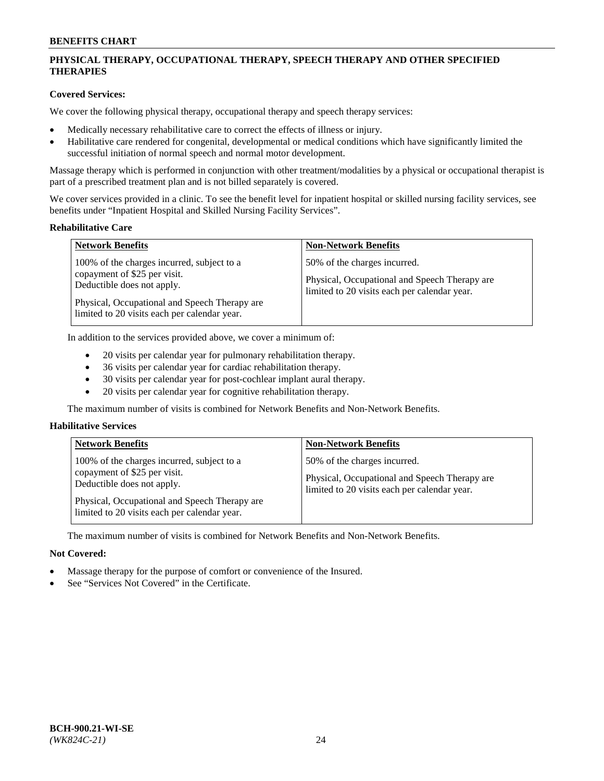## **PHYSICAL THERAPY, OCCUPATIONAL THERAPY, SPEECH THERAPY AND OTHER SPECIFIED THERAPIES**

## **Covered Services:**

We cover the following physical therapy, occupational therapy and speech therapy services:

- Medically necessary rehabilitative care to correct the effects of illness or injury.
- Habilitative care rendered for congenital, developmental or medical conditions which have significantly limited the successful initiation of normal speech and normal motor development.

Massage therapy which is performed in conjunction with other treatment/modalities by a physical or occupational therapist is part of a prescribed treatment plan and is not billed separately is covered.

We cover services provided in a clinic. To see the benefit level for inpatient hospital or skilled nursing facility services, see benefits under "Inpatient Hospital and Skilled Nursing Facility Services".

#### **Rehabilitative Care**

| <b>Network Benefits</b>                                                                                                                                                                                   | <b>Non-Network Benefits</b>                                                                                                   |
|-----------------------------------------------------------------------------------------------------------------------------------------------------------------------------------------------------------|-------------------------------------------------------------------------------------------------------------------------------|
| 100% of the charges incurred, subject to a<br>copayment of \$25 per visit.<br>Deductible does not apply.<br>Physical, Occupational and Speech Therapy are<br>limited to 20 visits each per calendar year. | 50% of the charges incurred.<br>Physical, Occupational and Speech Therapy are<br>limited to 20 visits each per calendar year. |

In addition to the services provided above, we cover a minimum of:

- 20 visits per calendar year for pulmonary rehabilitation therapy.
- 36 visits per calendar year for cardiac rehabilitation therapy.
- 30 visits per calendar year for post-cochlear implant aural therapy.
- 20 visits per calendar year for cognitive rehabilitation therapy.

The maximum number of visits is combined for Network Benefits and Non-Network Benefits.

## **Habilitative Services**

| <b>Network Benefits</b>                                                                                                                                                                                   | <b>Non-Network Benefits</b>                                                                                                   |
|-----------------------------------------------------------------------------------------------------------------------------------------------------------------------------------------------------------|-------------------------------------------------------------------------------------------------------------------------------|
| 100% of the charges incurred, subject to a<br>copayment of \$25 per visit.<br>Deductible does not apply.<br>Physical, Occupational and Speech Therapy are<br>limited to 20 visits each per calendar year. | 50% of the charges incurred.<br>Physical, Occupational and Speech Therapy are<br>limited to 20 visits each per calendar year. |

The maximum number of visits is combined for Network Benefits and Non-Network Benefits.

## **Not Covered:**

- Massage therapy for the purpose of comfort or convenience of the Insured.
- See "Services Not Covered" in the Certificate.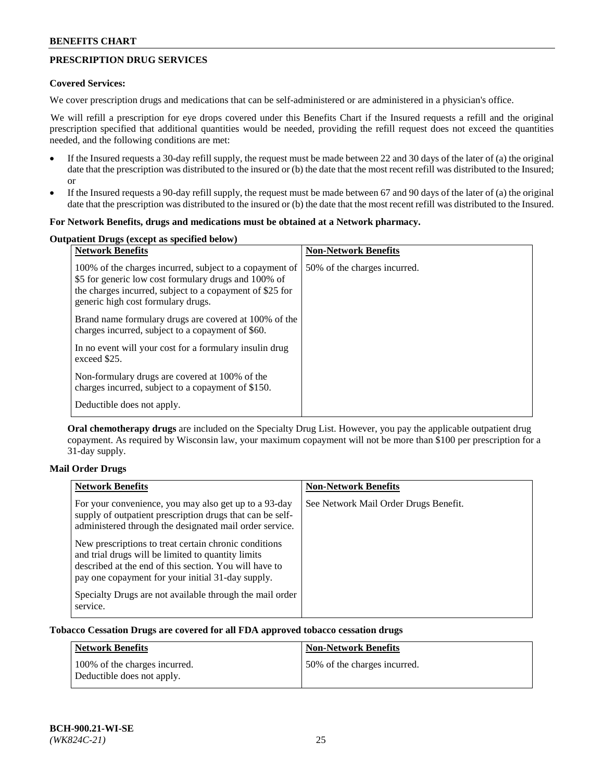## **PRESCRIPTION DRUG SERVICES**

### **Covered Services:**

We cover prescription drugs and medications that can be self-administered or are administered in a physician's office.

We will refill a prescription for eye drops covered under this Benefits Chart if the Insured requests a refill and the original prescription specified that additional quantities would be needed, providing the refill request does not exceed the quantities needed, and the following conditions are met:

- If the Insured requests a 30-day refill supply, the request must be made between 22 and 30 days of the later of (a) the original date that the prescription was distributed to the insured or (b) the date that the most recent refill was distributed to the Insured; or
- If the Insured requests a 90-day refill supply, the request must be made between 67 and 90 days of the later of (a) the original date that the prescription was distributed to the insured or (b) the date that the most recent refill was distributed to the Insured.

### **For Network Benefits, drugs and medications must be obtained at a Network pharmacy.**

#### **Outpatient Drugs (except as specified below)**

| <b>Network Benefits</b>                                                                                                                                                                                           | <b>Non-Network Benefits</b>  |
|-------------------------------------------------------------------------------------------------------------------------------------------------------------------------------------------------------------------|------------------------------|
| 100% of the charges incurred, subject to a copayment of<br>\$5 for generic low cost formulary drugs and 100% of<br>the charges incurred, subject to a copayment of \$25 for<br>generic high cost formulary drugs. | 50% of the charges incurred. |
| Brand name formulary drugs are covered at 100% of the<br>charges incurred, subject to a copayment of \$60.                                                                                                        |                              |
| In no event will your cost for a formulary insulin drug<br>exceed \$25.                                                                                                                                           |                              |
| Non-formulary drugs are covered at 100% of the<br>charges incurred, subject to a copayment of \$150.                                                                                                              |                              |
| Deductible does not apply.                                                                                                                                                                                        |                              |

**Oral chemotherapy drugs** are included on the Specialty Drug List. However, you pay the applicable outpatient drug copayment. As required by Wisconsin law, your maximum copayment will not be more than \$100 per prescription for a 31-day supply.

## **Mail Order Drugs**

| <b>Network Benefits</b>                                                                                                                                                                                                    | <b>Non-Network Benefits</b>           |
|----------------------------------------------------------------------------------------------------------------------------------------------------------------------------------------------------------------------------|---------------------------------------|
| For your convenience, you may also get up to a 93-day<br>supply of outpatient prescription drugs that can be self-<br>administered through the designated mail order service.                                              | See Network Mail Order Drugs Benefit. |
| New prescriptions to treat certain chronic conditions<br>and trial drugs will be limited to quantity limits<br>described at the end of this section. You will have to<br>pay one copayment for your initial 31-day supply. |                                       |
| Specialty Drugs are not available through the mail order<br>service.                                                                                                                                                       |                                       |

## **Tobacco Cessation Drugs are covered for all FDA approved tobacco cessation drugs**

| <b>Network Benefits</b>                                     | <b>Non-Network Benefits</b>  |
|-------------------------------------------------------------|------------------------------|
| 100% of the charges incurred.<br>Deductible does not apply. | 50% of the charges incurred. |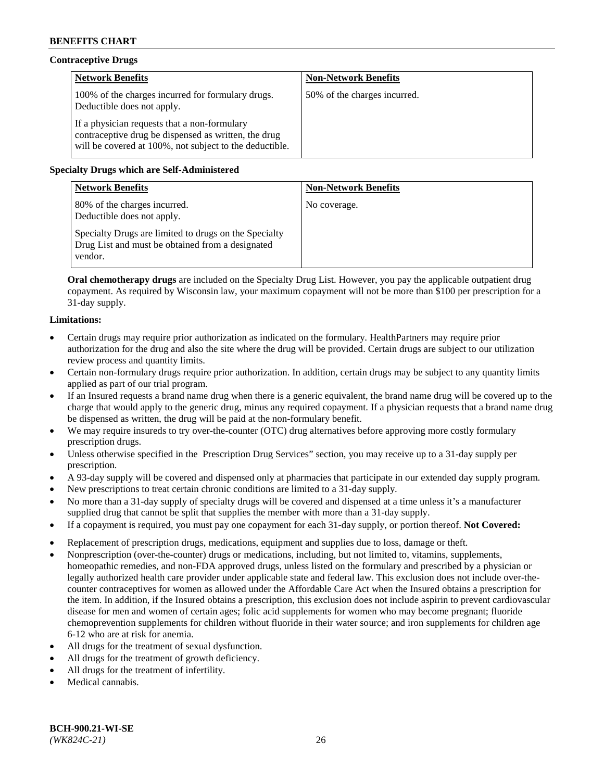## **Contraceptive Drugs**

| <b>Network Benefits</b>                                                                                                                                         | <b>Non-Network Benefits</b>  |
|-----------------------------------------------------------------------------------------------------------------------------------------------------------------|------------------------------|
| 100% of the charges incurred for formulary drugs.<br>Deductible does not apply.                                                                                 | 50% of the charges incurred. |
| If a physician requests that a non-formulary<br>contraceptive drug be dispensed as written, the drug<br>will be covered at 100%, not subject to the deductible. |                              |

## **Specialty Drugs which are Self-Administered**

| <b>Network Benefits</b>                                                                                              | <b>Non-Network Benefits</b> |
|----------------------------------------------------------------------------------------------------------------------|-----------------------------|
| 80% of the charges incurred.<br>Deductible does not apply.                                                           | No coverage.                |
| Specialty Drugs are limited to drugs on the Specialty<br>Drug List and must be obtained from a designated<br>vendor. |                             |

**Oral chemotherapy drugs** are included on the Specialty Drug List. However, you pay the applicable outpatient drug copayment. As required by Wisconsin law, your maximum copayment will not be more than \$100 per prescription for a 31-day supply.

## **Limitations:**

- Certain drugs may require prior authorization as indicated on the formulary. HealthPartners may require prior authorization for the drug and also the site where the drug will be provided. Certain drugs are subject to our utilization review process and quantity limits.
- Certain non-formulary drugs require prior authorization. In addition, certain drugs may be subject to any quantity limits applied as part of our trial program.
- If an Insured requests a brand name drug when there is a generic equivalent, the brand name drug will be covered up to the charge that would apply to the generic drug, minus any required copayment. If a physician requests that a brand name drug be dispensed as written, the drug will be paid at the non-formulary benefit.
- We may require insureds to try over-the-counter (OTC) drug alternatives before approving more costly formulary prescription drugs.
- Unless otherwise specified in the Prescription Drug Services" section, you may receive up to a 31-day supply per prescription.
- A 93-day supply will be covered and dispensed only at pharmacies that participate in our extended day supply program.
- New prescriptions to treat certain chronic conditions are limited to a 31-day supply.
- No more than a 31-day supply of specialty drugs will be covered and dispensed at a time unless it's a manufacturer supplied drug that cannot be split that supplies the member with more than a 31-day supply.
- If a copayment is required, you must pay one copayment for each 31-day supply, or portion thereof. **Not Covered:**
- Replacement of prescription drugs, medications, equipment and supplies due to loss, damage or theft.
- Nonprescription (over-the-counter) drugs or medications, including, but not limited to, vitamins, supplements, homeopathic remedies, and non-FDA approved drugs, unless listed on the formulary and prescribed by a physician or legally authorized health care provider under applicable state and federal law. This exclusion does not include over-thecounter contraceptives for women as allowed under the Affordable Care Act when the Insured obtains a prescription for the item. In addition, if the Insured obtains a prescription, this exclusion does not include aspirin to prevent cardiovascular disease for men and women of certain ages; folic acid supplements for women who may become pregnant; fluoride chemoprevention supplements for children without fluoride in their water source; and iron supplements for children age 6-12 who are at risk for anemia.
- All drugs for the treatment of sexual dysfunction.
- All drugs for the treatment of growth deficiency.
- All drugs for the treatment of infertility.
- Medical cannabis.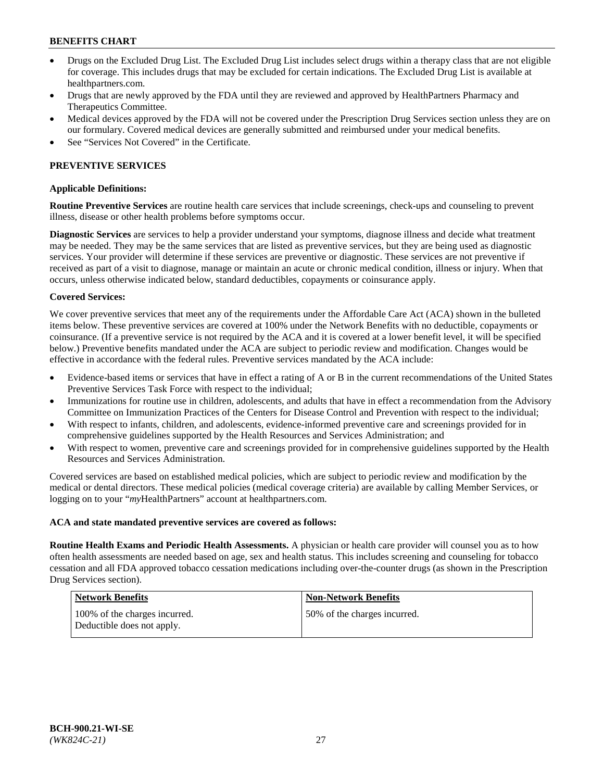- Drugs on the Excluded Drug List. The Excluded Drug List includes select drugs within a therapy class that are not eligible for coverage. This includes drugs that may be excluded for certain indications. The Excluded Drug List is available at [healthpartners.com.](http://www.healthpartners.com/)
- Drugs that are newly approved by the FDA until they are reviewed and approved by HealthPartners Pharmacy and Therapeutics Committee.
- Medical devices approved by the FDA will not be covered under the Prescription Drug Services section unless they are on our formulary. Covered medical devices are generally submitted and reimbursed under your medical benefits.
- See "Services Not Covered" in the Certificate.

## **PREVENTIVE SERVICES**

#### **Applicable Definitions:**

**Routine Preventive Services** are routine health care services that include screenings, check-ups and counseling to prevent illness, disease or other health problems before symptoms occur.

**Diagnostic Services** are services to help a provider understand your symptoms, diagnose illness and decide what treatment may be needed. They may be the same services that are listed as preventive services, but they are being used as diagnostic services. Your provider will determine if these services are preventive or diagnostic. These services are not preventive if received as part of a visit to diagnose, manage or maintain an acute or chronic medical condition, illness or injury. When that occurs, unless otherwise indicated below, standard deductibles, copayments or coinsurance apply.

#### **Covered Services:**

We cover preventive services that meet any of the requirements under the Affordable Care Act (ACA) shown in the bulleted items below. These preventive services are covered at 100% under the Network Benefits with no deductible, copayments or coinsurance. (If a preventive service is not required by the ACA and it is covered at a lower benefit level, it will be specified below.) Preventive benefits mandated under the ACA are subject to periodic review and modification. Changes would be effective in accordance with the federal rules. Preventive services mandated by the ACA include:

- Evidence-based items or services that have in effect a rating of A or B in the current recommendations of the United States Preventive Services Task Force with respect to the individual;
- Immunizations for routine use in children, adolescents, and adults that have in effect a recommendation from the Advisory Committee on Immunization Practices of the Centers for Disease Control and Prevention with respect to the individual;
- With respect to infants, children, and adolescents, evidence-informed preventive care and screenings provided for in comprehensive guidelines supported by the Health Resources and Services Administration; and
- With respect to women, preventive care and screenings provided for in comprehensive guidelines supported by the Health Resources and Services Administration.

Covered services are based on established medical policies, which are subject to periodic review and modification by the medical or dental directors. These medical policies (medical coverage criteria) are available by calling Member Services, or logging on to your "*my*HealthPartners" account at [healthpartners.com.](https://www.healthpartners.com/hp/index.html)

#### **ACA and state mandated preventive services are covered as follows:**

**Routine Health Exams and Periodic Health Assessments.** A physician or health care provider will counsel you as to how often health assessments are needed based on age, sex and health status. This includes screening and counseling for tobacco cessation and all FDA approved tobacco cessation medications including over-the-counter drugs (as shown in the Prescription Drug Services section).

| Network Benefits                                            | <b>Non-Network Benefits</b>  |
|-------------------------------------------------------------|------------------------------|
| 100% of the charges incurred.<br>Deductible does not apply. | 50% of the charges incurred. |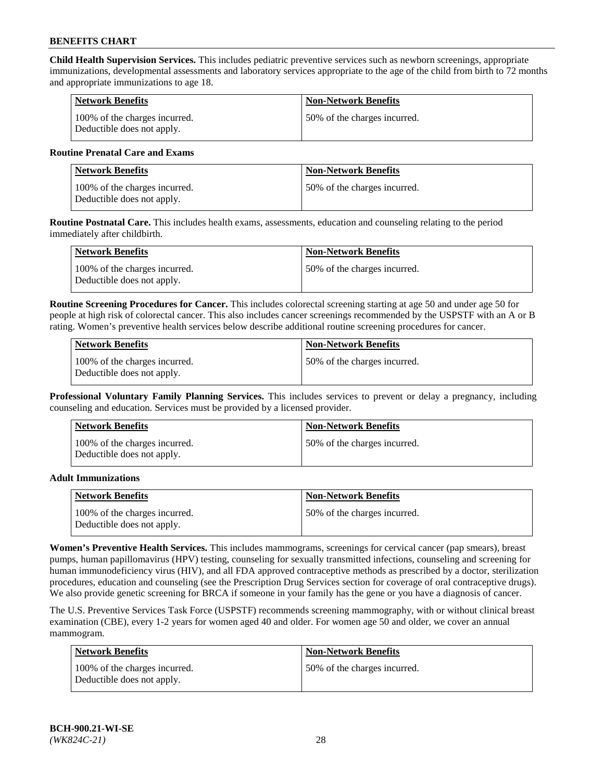**Child Health Supervision Services.** This includes pediatric preventive services such as newborn screenings, appropriate immunizations, developmental assessments and laboratory services appropriate to the age of the child from birth to 72 months and appropriate immunizations to age 18.

| <b>Network Benefits</b>                                     | <b>Non-Network Benefits</b>  |
|-------------------------------------------------------------|------------------------------|
| 100% of the charges incurred.<br>Deductible does not apply. | 50% of the charges incurred. |

### **Routine Prenatal Care and Exams**

| Network Benefits                                            | <b>Non-Network Benefits</b>  |
|-------------------------------------------------------------|------------------------------|
| 100% of the charges incurred.<br>Deductible does not apply. | 50% of the charges incurred. |

**Routine Postnatal Care.** This includes health exams, assessments, education and counseling relating to the period immediately after childbirth.

| <b>Network Benefits</b>                                     | <b>Non-Network Benefits</b>  |
|-------------------------------------------------------------|------------------------------|
| 100% of the charges incurred.<br>Deductible does not apply. | 50% of the charges incurred. |

**Routine Screening Procedures for Cancer.** This includes colorectal screening starting at age 50 and under age 50 for people at high risk of colorectal cancer. This also includes cancer screenings recommended by the USPSTF with an A or B rating. Women's preventive health services below describe additional routine screening procedures for cancer.

| <b>Network Benefits</b>                                     | <b>Non-Network Benefits</b>   |
|-------------------------------------------------------------|-------------------------------|
| 100% of the charges incurred.<br>Deductible does not apply. | 150% of the charges incurred. |

**Professional Voluntary Family Planning Services.** This includes services to prevent or delay a pregnancy, including counseling and education. Services must be provided by a licensed provider.

| <b>Network Benefits</b>                                     | <b>Non-Network Benefits</b>  |
|-------------------------------------------------------------|------------------------------|
| 100% of the charges incurred.<br>Deductible does not apply. | 50% of the charges incurred. |

### **Adult Immunizations**

| Network Benefits                                            | <b>Non-Network Benefits</b>   |
|-------------------------------------------------------------|-------------------------------|
| 100% of the charges incurred.<br>Deductible does not apply. | 150% of the charges incurred. |

**Women's Preventive Health Services.** This includes mammograms, screenings for cervical cancer (pap smears), breast pumps, human papillomavirus (HPV) testing, counseling for sexually transmitted infections, counseling and screening for human immunodeficiency virus (HIV), and all FDA approved contraceptive methods as prescribed by a doctor, sterilization procedures, education and counseling (see the Prescription Drug Services section for coverage of oral contraceptive drugs). We also provide genetic screening for BRCA if someone in your family has the gene or you have a diagnosis of cancer.

The U.S. Preventive Services Task Force (USPSTF) recommends screening mammography, with or without clinical breast examination (CBE), every 1-2 years for women aged 40 and older. For women age 50 and older, we cover an annual mammogram.

| <b>Network Benefits</b>                                     | <b>Non-Network Benefits</b>  |
|-------------------------------------------------------------|------------------------------|
| 100% of the charges incurred.<br>Deductible does not apply. | 50% of the charges incurred. |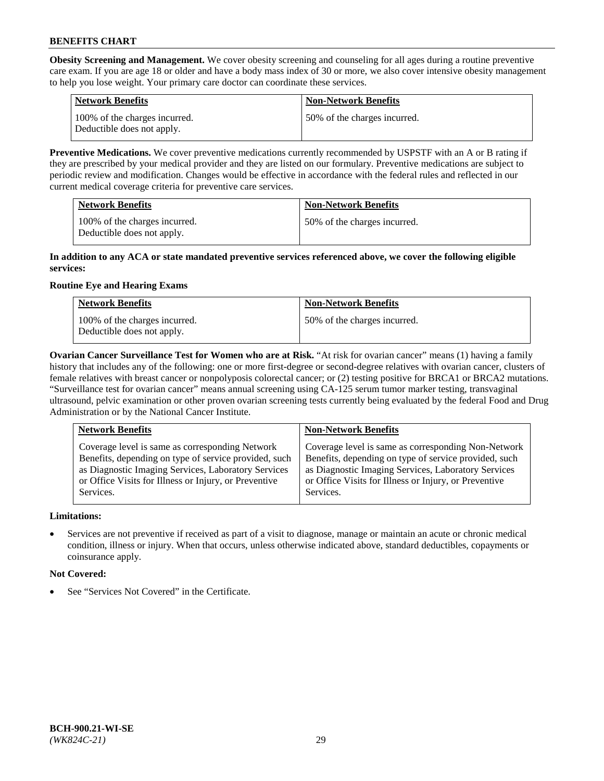**Obesity Screening and Management.** We cover obesity screening and counseling for all ages during a routine preventive care exam. If you are age 18 or older and have a body mass index of 30 or more, we also cover intensive obesity management to help you lose weight. Your primary care doctor can coordinate these services.

| <b>Network Benefits</b>                                     | <b>Non-Network Benefits</b>  |
|-------------------------------------------------------------|------------------------------|
| 100% of the charges incurred.<br>Deductible does not apply. | 50% of the charges incurred. |

**Preventive Medications.** We cover preventive medications currently recommended by USPSTF with an A or B rating if they are prescribed by your medical provider and they are listed on our formulary. Preventive medications are subject to periodic review and modification. Changes would be effective in accordance with the federal rules and reflected in our current medical coverage criteria for preventive care services.

| <b>Network Benefits</b>                                     | <b>Non-Network Benefits</b>  |
|-------------------------------------------------------------|------------------------------|
| 100% of the charges incurred.<br>Deductible does not apply. | 50% of the charges incurred. |

### **In addition to any ACA or state mandated preventive services referenced above, we cover the following eligible services:**

## **Routine Eye and Hearing Exams**

| <b>Network Benefits</b>                                     | <b>Non-Network Benefits</b>  |
|-------------------------------------------------------------|------------------------------|
| 100% of the charges incurred.<br>Deductible does not apply. | 50% of the charges incurred. |

**Ovarian Cancer Surveillance Test for Women who are at Risk.** "At risk for ovarian cancer" means (1) having a family history that includes any of the following: one or more first-degree or second-degree relatives with ovarian cancer, clusters of female relatives with breast cancer or nonpolyposis colorectal cancer; or (2) testing positive for BRCA1 or BRCA2 mutations. "Surveillance test for ovarian cancer" means annual screening using CA-125 serum tumor marker testing, transvaginal ultrasound, pelvic examination or other proven ovarian screening tests currently being evaluated by the federal Food and Drug Administration or by the National Cancer Institute.

| <b>Network Benefits</b>                               | <b>Non-Network Benefits</b>                           |
|-------------------------------------------------------|-------------------------------------------------------|
| Coverage level is same as corresponding Network       | Coverage level is same as corresponding Non-Network   |
| Benefits, depending on type of service provided, such | Benefits, depending on type of service provided, such |
| as Diagnostic Imaging Services, Laboratory Services   | as Diagnostic Imaging Services, Laboratory Services   |
| or Office Visits for Illness or Injury, or Preventive | or Office Visits for Illness or Injury, or Preventive |
| Services.                                             | Services.                                             |

## **Limitations:**

• Services are not preventive if received as part of a visit to diagnose, manage or maintain an acute or chronic medical condition, illness or injury. When that occurs, unless otherwise indicated above, standard deductibles, copayments or coinsurance apply.

## **Not Covered:**

See "Services Not Covered" in the Certificate.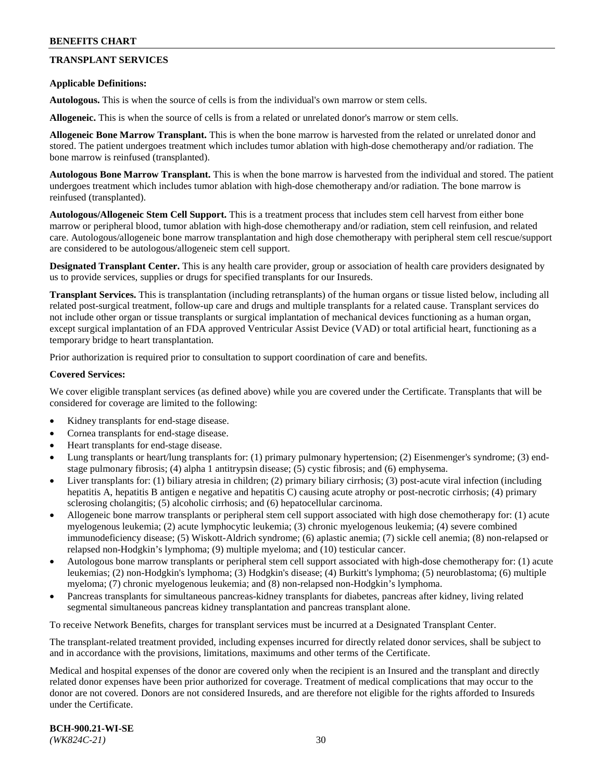## **TRANSPLANT SERVICES**

### **Applicable Definitions:**

**Autologous.** This is when the source of cells is from the individual's own marrow or stem cells.

**Allogeneic.** This is when the source of cells is from a related or unrelated donor's marrow or stem cells.

**Allogeneic Bone Marrow Transplant.** This is when the bone marrow is harvested from the related or unrelated donor and stored. The patient undergoes treatment which includes tumor ablation with high-dose chemotherapy and/or radiation. The bone marrow is reinfused (transplanted).

**Autologous Bone Marrow Transplant.** This is when the bone marrow is harvested from the individual and stored. The patient undergoes treatment which includes tumor ablation with high-dose chemotherapy and/or radiation. The bone marrow is reinfused (transplanted).

**Autologous/Allogeneic Stem Cell Support.** This is a treatment process that includes stem cell harvest from either bone marrow or peripheral blood, tumor ablation with high-dose chemotherapy and/or radiation, stem cell reinfusion, and related care. Autologous/allogeneic bone marrow transplantation and high dose chemotherapy with peripheral stem cell rescue/support are considered to be autologous/allogeneic stem cell support.

**Designated Transplant Center.** This is any health care provider, group or association of health care providers designated by us to provide services, supplies or drugs for specified transplants for our Insureds.

**Transplant Services.** This is transplantation (including retransplants) of the human organs or tissue listed below, including all related post-surgical treatment, follow-up care and drugs and multiple transplants for a related cause. Transplant services do not include other organ or tissue transplants or surgical implantation of mechanical devices functioning as a human organ, except surgical implantation of an FDA approved Ventricular Assist Device (VAD) or total artificial heart, functioning as a temporary bridge to heart transplantation.

Prior authorization is required prior to consultation to support coordination of care and benefits.

### **Covered Services:**

We cover eligible transplant services (as defined above) while you are covered under the Certificate. Transplants that will be considered for coverage are limited to the following:

- Kidney transplants for end-stage disease.
- Cornea transplants for end-stage disease.
- Heart transplants for end-stage disease.
- Lung transplants or heart/lung transplants for: (1) primary pulmonary hypertension; (2) Eisenmenger's syndrome; (3) endstage pulmonary fibrosis; (4) alpha 1 antitrypsin disease; (5) cystic fibrosis; and (6) emphysema.
- Liver transplants for: (1) biliary atresia in children; (2) primary biliary cirrhosis; (3) post-acute viral infection (including hepatitis A, hepatitis B antigen e negative and hepatitis C) causing acute atrophy or post-necrotic cirrhosis; (4) primary sclerosing cholangitis; (5) alcoholic cirrhosis; and (6) hepatocellular carcinoma.
- Allogeneic bone marrow transplants or peripheral stem cell support associated with high dose chemotherapy for: (1) acute myelogenous leukemia; (2) acute lymphocytic leukemia; (3) chronic myelogenous leukemia; (4) severe combined immunodeficiency disease; (5) Wiskott-Aldrich syndrome; (6) aplastic anemia; (7) sickle cell anemia; (8) non-relapsed or relapsed non-Hodgkin's lymphoma; (9) multiple myeloma; and (10) testicular cancer.
- Autologous bone marrow transplants or peripheral stem cell support associated with high-dose chemotherapy for: (1) acute leukemias; (2) non-Hodgkin's lymphoma; (3) Hodgkin's disease; (4) Burkitt's lymphoma; (5) neuroblastoma; (6) multiple myeloma; (7) chronic myelogenous leukemia; and (8) non-relapsed non-Hodgkin's lymphoma.
- Pancreas transplants for simultaneous pancreas-kidney transplants for diabetes, pancreas after kidney, living related segmental simultaneous pancreas kidney transplantation and pancreas transplant alone.

To receive Network Benefits, charges for transplant services must be incurred at a Designated Transplant Center.

The transplant-related treatment provided, including expenses incurred for directly related donor services, shall be subject to and in accordance with the provisions, limitations, maximums and other terms of the Certificate.

Medical and hospital expenses of the donor are covered only when the recipient is an Insured and the transplant and directly related donor expenses have been prior authorized for coverage. Treatment of medical complications that may occur to the donor are not covered. Donors are not considered Insureds, and are therefore not eligible for the rights afforded to Insureds under the Certificate.